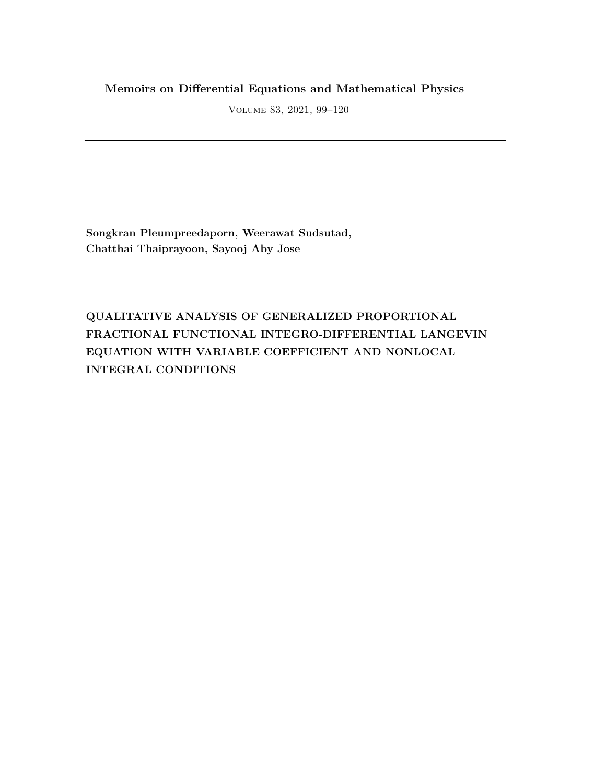## **Memoirs on Differential Equations and Mathematical Physics**

Volume 83, 2021, 99–120

**Songkran Pleumpreedaporn, Weerawat Sudsutad, Chatthai Thaiprayoon, Sayooj Aby Jose**

**QUALITATIVE ANALYSIS OF GENERALIZED PROPORTIONAL FRACTIONAL FUNCTIONAL INTEGRO-DIFFERENTIAL LANGEVIN EQUATION WITH VARIABLE COEFFICIENT AND NONLOCAL INTEGRAL CONDITIONS**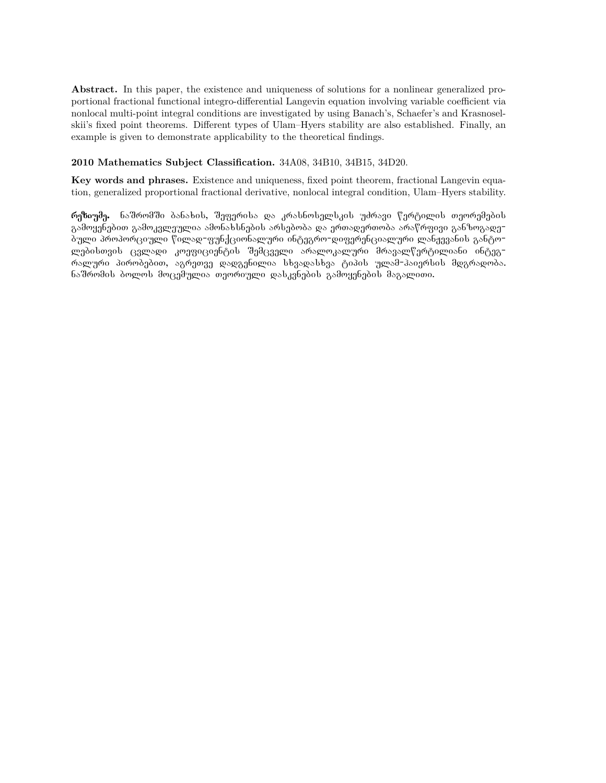**Abstract.** In this paper, the existence and uniqueness of solutions for a nonlinear generalized proportional fractional functional integro-differential Langevin equation involving variable coefficient via nonlocal multi-point integral conditions are investigated by using Banach's, Schaefer's and Krasnoselskii's fixed point theorems. Different types of Ulam–Hyers stability are also established. Finally, an example is given to demonstrate applicability to the theoretical findings.

### **2010 Mathematics Subject Classification.** 34A08, 34B10, 34B15, 34D20.

**Key words and phrases.** Existence and uniqueness, fixed point theorem, fractional Langevin equation, generalized proportional fractional derivative, nonlocal integral condition, Ulam–Hyers stability.

້**რეზიუმე.** ნაშრომში ბანახის, შეფერისა და კრასნოსელსკის უძრავი წერტილის თეორემების გამოყენებით გამოკვლეულია ამონახსნების არსებობა და ერთადერთობა არაწრფივი განზოგადებული პროპორციული წილად−ფუნქციონალური ინტეგრო−დიფერენციალური ლანჟევანის განტო− ლებისთვის ცვლადი კოეფიციენტის შემცველი არალოკალური მრავალწერტილიანი ინტეგრალური პირობებით, აგრეთვე დადგენილია სხვადასხვა ტიპის ულამ-ჰაიერსის მდგრადობა. ნაშრომის ბოლოს მოცემულია თეორიული დასკვნების გამოყენების მაგალითი.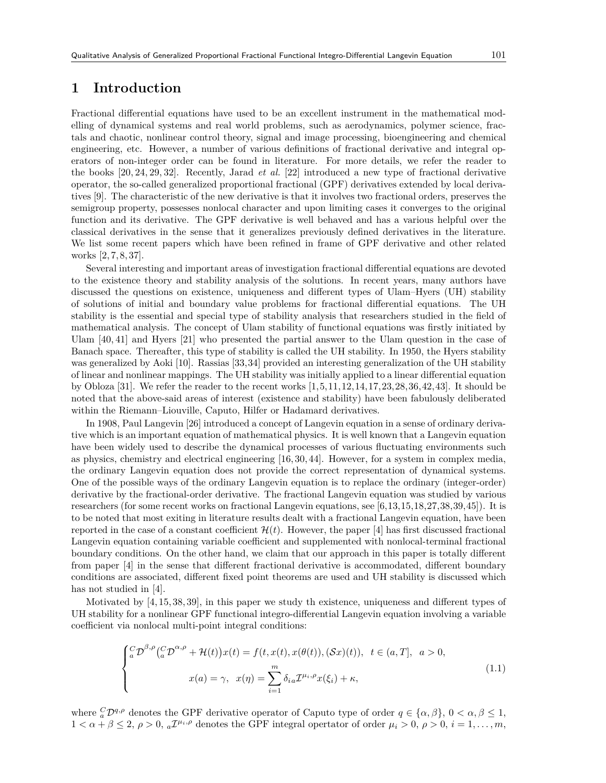## **1 Introduction**

Fractional differential equations have used to be an excellent instrument in the mathematical modelling of dynamical systems and real world problems, such as aerodynamics, polymer science, fractals and chaotic, nonlinear control theory, signal and image processing, bioengineering and chemical engineering, etc. However, a number of various definitions of fractional derivative and integral operators of non-integer order can be found in literature. For more details, we refer the reader to the books [20, 24, 29, 32]. Recently, Jarad *et al.* [22] introduced a new type of fractional derivative operator, the so-called generalized proportional fractional (GPF) derivatives extended by local derivatives [9]. The characteristic of the new derivative is that it involves two fractional orders, preserves the semigroup property, possesses nonlocal character and upon limiting cases it converges to the original function and its derivative. The GPF derivative is well behaved and has a various helpful over the classical derivatives in the sense that it generalizes previously defined derivatives in the literature. We list some recent papers which have been refined in frame of GPF derivative and other related works [2,7,8,37].

Several interesting and important areas of investigation fractional differential equations are devoted to the existence theory and stability analysis of the solutions. In recent years, many authors have discussed the questions on existence, uniqueness and different types of Ulam–Hyers (UH) stability of solutions of initial and boundary value problems for fractional differential equations. The UH stability is the essential and special type of stability analysis that researchers studied in the field of mathematical analysis. The concept of Ulam stability of functional equations was firstly initiated by Ulam [40, 41] and Hyers [21] who presented the partial answer to the Ulam question in the case of Banach space. Thereafter, this type of stability is called the UH stability. In 1950, the Hyers stability was generalized by Aoki [10]. Rassias [33,34] provided an interesting generalization of the UH stability of linear and nonlinear mappings. The UH stability was initially applied to a linear differential equation by Obloza [31]. We refer the reader to the recent works  $[1,5,11,12,14,17,23,28,36,42,43]$ . It should be noted that the above-said areas of interest (existence and stability) have been fabulously deliberated within the Riemann–Liouville, Caputo, Hilfer or Hadamard derivatives.

In 1908, Paul Langevin [26] introduced a concept of Langevin equation in a sense of ordinary derivative which is an important equation of mathematical physics. It is well known that a Langevin equation have been widely used to describe the dynamical processes of various fluctuating environments such as physics, chemistry and electrical engineering [16,30,44]. However, for a system in complex media, the ordinary Langevin equation does not provide the correct representation of dynamical systems. One of the possible ways of the ordinary Langevin equation is to replace the ordinary (integer-order) derivative by the fractional-order derivative. The fractional Langevin equation was studied by various researchers (for some recent works on fractional Langevin equations, see [6,13,15,18,27,38,39,45]). It is to be noted that most exiting in literature results dealt with a fractional Langevin equation, have been reported in the case of a constant coefficient  $\mathcal{H}(t)$ . However, the paper [4] has first discussed fractional Langevin equation containing variable coefficient and supplemented with nonlocal-terminal fractional boundary conditions. On the other hand, we claim that our approach in this paper is totally different from paper [4] in the sense that different fractional derivative is accommodated, different boundary conditions are associated, different fixed point theorems are used and UH stability is discussed which has not studied in [4].

Motivated by [4,15,38,39], in this paper we study th existence, uniqueness and different types of UH stability for a nonlinear GPF functional integro-differential Langevin equation involving a variable coefficient via nonlocal multi-point integral conditions:

$$
\begin{cases} {}_{a}^{C} \mathcal{D}^{\beta,\rho}({}_{a}^{C} \mathcal{D}^{\alpha,\rho} + \mathcal{H}(t)) x(t) = f(t, x(t), x(\theta(t)), (\mathcal{S}x)(t)), \ t \in (a, T], \ a > 0, \\ x(a) = \gamma, \ x(\eta) = \sum_{i=1}^{m} \delta_{ia} \mathcal{I}^{\mu_i, \rho} x(\xi_i) + \kappa, \end{cases}
$$
\n(1.1)

where  ${}_{a}^{C}D^{q,\rho}$  denotes the GPF derivative operator of Caputo type of order  $q \in {\alpha, \beta}$ ,  $0 < \alpha, \beta \leq 1$ ,  $1 < \alpha + \beta \leq 2, \ \rho > 0, \ a\mathcal{I}^{\mu_i, \rho}$  denotes the GPF integral opertator of order  $\mu_i > 0, \ \rho > 0, \ i = 1, \ldots, m$ ,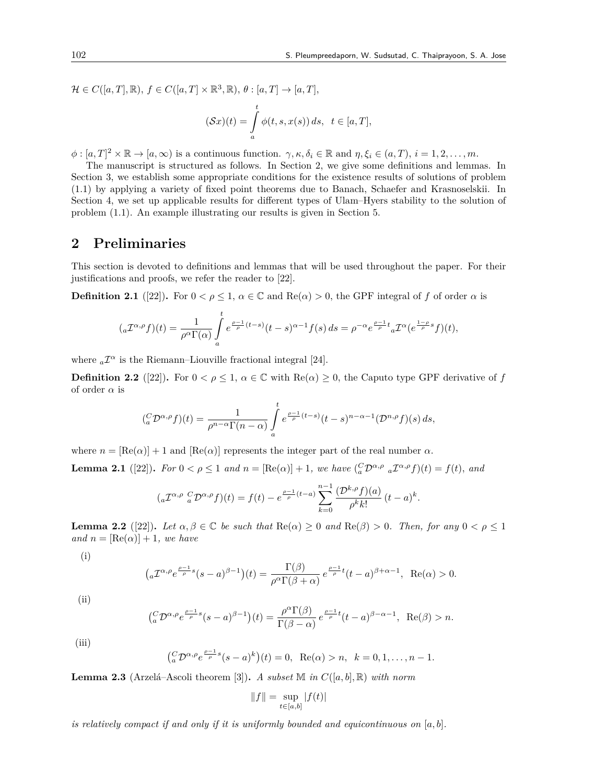$\mathcal{H} \in C([a, T], \mathbb{R}), f \in C([a, T] \times \mathbb{R}^3, \mathbb{R}), \theta : [a, T] \to [a, T],$ 

$$
(\mathcal{S}x)(t) = \int_a^t \phi(t, s, x(s)) ds, \ t \in [a, T],
$$

 $\phi: [a, T]^2 \times \mathbb{R} \to [a, \infty)$  is a continuous function.  $\gamma, \kappa, \delta_i \in \mathbb{R}$  and  $\eta, \xi_i \in (a, T), i = 1, 2, \ldots, m$ .

The manuscript is structured as follows. In Section 2, we give some definitions and lemmas. In Section 3, we establish some appropriate conditions for the existence results of solutions of problem (1.1) by applying a variety of fixed point theorems due to Banach, Schaefer and Krasnoselskii. In Section 4, we set up applicable results for different types of Ulam–Hyers stability to the solution of problem (1.1). An example illustrating our results is given in Section 5.

## **2 Preliminaries**

This section is devoted to definitions and lemmas that will be used throughout the paper. For their justifications and proofs, we refer the reader to [22].

**Definition 2.1** ([22]). For  $0 < \rho \leq 1$ ,  $\alpha \in \mathbb{C}$  and Re( $\alpha$ ) > 0, the GPF integral of *f* of order  $\alpha$  is

$$
(_{a}\mathcal{I}^{\alpha,\rho}f)(t)=\frac{1}{\rho^{\alpha}\Gamma(\alpha)}\int\limits_{a}^{t}e^{\frac{\rho-1}{\rho}(t-s)}(t-s)^{\alpha-1}f(s)\,ds=\rho^{-\alpha}e^{\frac{\rho-1}{\rho}t}_{\quad a}\mathcal{I}^{\alpha}(e^{\frac{1-\rho}{\rho}s}f)(t),
$$

where  ${}_{a}^{\mathcal{I}^{\alpha}}$  is the Riemann–Liouville fractional integral [24].

**Definition 2.2** ([22]). For  $0 < \rho \leq 1$ ,  $\alpha \in \mathbb{C}$  with  $\text{Re}(\alpha) \geq 0$ , the Caputo type GPF derivative of *f* of order *α* is

$$
\left(\begin{matrix} C \\ a \end{matrix}\mathcal{D}^{\alpha,\rho}f\right)(t) = \frac{1}{\rho^{n-\alpha}\Gamma(n-\alpha)} \int\limits_{a}^{t} e^{\frac{\rho-1}{\rho}(t-s)}(t-s)^{n-\alpha-1}(\mathcal{D}^{n,\rho}f)(s) \, ds,
$$

where  $n = [Re(\alpha)] + 1$  and  $[Re(\alpha)]$  represents the integer part of the real number  $\alpha$ .

**Lemma 2.1** ([22]). For  $0 < \rho \le 1$  and  $n = [\text{Re}(\alpha)] + 1$ , we have  $\binom{C}{a} \mathcal{D}^{\alpha,\rho} a \mathcal{I}^{\alpha,\rho} f$  (t) = f(t), and

$$
({}_{a}\mathcal{I}^{\alpha,\rho} {}_{a}^{C} \mathcal{D}^{\alpha,\rho} f)(t) = f(t) - e^{\frac{\rho-1}{\rho}(t-a)} \sum_{k=0}^{n-1} \frac{(\mathcal{D}^{k,\rho} f)(a)}{\rho^k k!} (t-a)^k.
$$

**Lemma 2.2** ([22]). Let  $\alpha, \beta \in \mathbb{C}$  be such that  $\text{Re}(\alpha) \geq 0$  and  $\text{Re}(\beta) > 0$ . Then, for any  $0 < \rho \leq 1$ *and*  $n = [Re(\alpha)] + 1$ *, we have* 

(i)

$$
\left({}_{a}\mathcal{I}^{\alpha,\rho}e^{\frac{\rho-1}{\rho}s}(s-a)^{\beta-1}\right)(t)=\frac{\Gamma(\beta)}{\rho^{\alpha}\Gamma(\beta+\alpha)}e^{\frac{\rho-1}{\rho}t}(t-a)^{\beta+\alpha-1}, \ \ \text{Re}(\alpha)>0.
$$

(ii)

$$
\left(\underset{a}{^C} \mathcal{D}^{\alpha,\rho} e^{\frac{\rho-1}{\rho}s}(s-a)^{\beta-1}\right)(t) = \frac{\rho^{\alpha}\Gamma(\beta)}{\Gamma(\beta-\alpha)} e^{\frac{\rho-1}{\rho}t}(t-a)^{\beta-\alpha-1}, \ \ \text{Re}(\beta) > n.
$$

(iii)

$$
\left({}_{a}^{C} \mathcal{D}^{\alpha,\rho} e^{\frac{\rho-1}{\rho}s}(s-a)^{k}\right)(t) = 0, \ \ \text{Re}(\alpha) > n, \ \ k = 0, 1, \ldots, n-1.
$$

**Lemma 2.3** (Arzelá–Ascoli theorem [3]). *A subset*  $\mathbb{M}$  *in*  $C([a, b], \mathbb{R})$  *with norm* 

$$
||f|| = \sup_{t \in [a,b]} |f(t)|
$$

*is relatively compact if and only if it is uniformly bounded and equicontinuous on*  $[a, b]$ *.*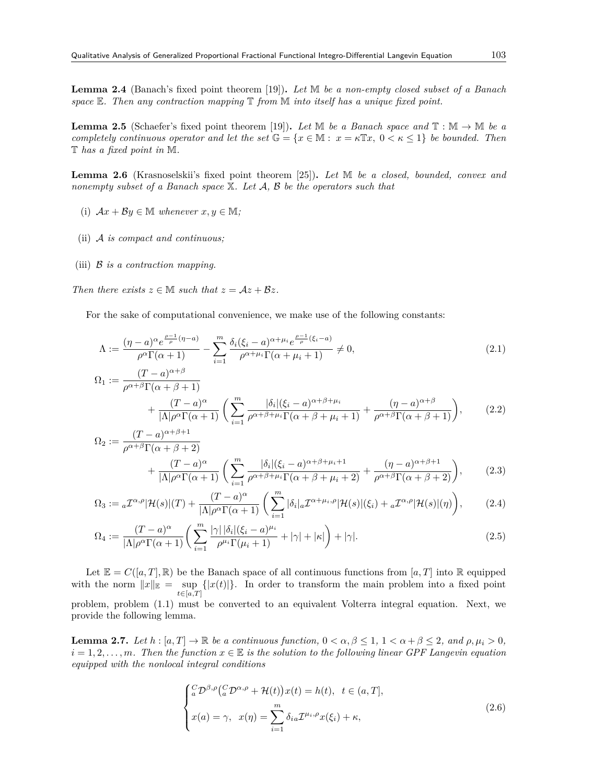**Lemma 2.4** (Banach's fixed point theorem [19])**.** *Let* M *be a non-empty closed subset of a Banach space* E*. Then any contraction mapping* T *from* M *into itself has a unique fixed point.*

**Lemma 2.5** (Schaefer's fixed point theorem [19]). Let M be a Banach space and  $\mathbb{T} : \mathbb{M} \to \mathbb{M}$  be a *completely continuous operator and let the set*  $\mathbb{G} = \{x \in \mathbb{M} : x = \kappa \mathbb{T}x, 0 \leq \kappa \leq 1\}$  be bounded. Then T *has a fixed point in* M*.*

**Lemma 2.6** (Krasnoselskii's fixed point theorem [25])**.** *Let* M *be a closed, bounded, convex and nonempty subset of a Banach space* X*. Let A, B be the operators such that*

- (i)  $Ax + By \in \mathbb{M}$  *whenever*  $x, y \in \mathbb{M}$ ;
- (ii) *A is compact and continuous;*
- (iii) *B is a contraction mapping.*

*Then there exists*  $z \in M$  *such that*  $z = Az + Bz$ *.* 

For the sake of computational convenience, we make use of the following constants:

$$
\Lambda := \frac{(\eta - a)^{\alpha} e^{\frac{\rho - 1}{\rho}(\eta - a)}}{\rho^{\alpha} \Gamma(\alpha + 1)} - \sum_{i=1}^{m} \frac{\delta_i (\xi_i - a)^{\alpha + \mu_i} e^{\frac{\rho - 1}{\rho}(\xi_i - a)}}{\rho^{\alpha + \mu_i} \Gamma(\alpha + \mu_i + 1)} \neq 0,
$$
\n(2.1)

$$
\Omega_1 := \frac{(T-a)^{\alpha+\beta}}{\rho^{\alpha+\beta}\Gamma(\alpha+\beta+1)} + \frac{(T-a)^{\alpha}}{|\Lambda|\rho^{\alpha}\Gamma(\alpha+1)} \left(\sum_{i=1}^m \frac{|\delta_i|(\xi_i-a)^{\alpha+\beta+\mu_i}}{\rho^{\alpha+\beta+\mu_i}\Gamma(\alpha+\beta+\mu_i+1)} + \frac{(\eta-a)^{\alpha+\beta}}{\rho^{\alpha+\beta}\Gamma(\alpha+\beta+1)}\right),
$$
\n(2.2)

$$
\Omega_2 := \frac{(T-a)^{\alpha+\beta+1}}{\rho^{\alpha+\beta}\Gamma(\alpha+\beta+2)} + \frac{(T-a)^{\alpha}}{|\Lambda|\rho^{\alpha}\Gamma(\alpha+1)} \left(\sum_{i=1}^m \frac{|\delta_i|(\xi_i-a)^{\alpha+\beta+\mu_i+1}}{\rho^{\alpha+\beta+\mu_i}\Gamma(\alpha+\beta+\mu_i+2)} + \frac{(\eta-a)^{\alpha+\beta+1}}{\rho^{\alpha+\beta}\Gamma(\alpha+\beta+2)}\right),
$$
\n(2.3)

$$
\Omega_3 := {}_a\mathcal{I}^{\alpha,\rho}|\mathcal{H}(s)|(T) + \frac{(T-a)^{\alpha}}{|\Lambda|\rho^{\alpha}\Gamma(\alpha+1)} \left(\sum_{i=1}^m |\delta_i|_a \mathcal{I}^{\alpha+\mu_i,\rho}|\mathcal{H}(s)|(\xi_i) + {}_a\mathcal{I}^{\alpha,\rho}|\mathcal{H}(s)|(\eta)\right),\tag{2.4}
$$

$$
\Omega_4 := \frac{(T-a)^{\alpha}}{|\Lambda|\rho^{\alpha}\Gamma(\alpha+1)} \bigg(\sum_{i=1}^m \frac{|\gamma| \, |\delta_i| (\xi_i - a)^{\mu_i}}{\rho^{\mu_i}\Gamma(\mu_i + 1)} + |\gamma| + |\kappa|\bigg) + |\gamma|.\tag{2.5}
$$

Let  $\mathbb{E} = C([a,T], \mathbb{R})$  be the Banach space of all continuous functions from  $[a, T]$  into R equipped with the norm  $||x||_{\mathbb{E}} = \sup \{|x(t)|\}$ . In order to transform the main problem into a fixed point *t∈*[*a,T*] problem, problem (1.1) must be converted to an equivalent Volterra integral equation. Next, we provide the following lemma.

**Lemma 2.7.** *Let*  $h : [a, T] \to \mathbb{R}$  *be a continuous function,*  $0 < \alpha, \beta \leq 1, 1 < \alpha + \beta \leq 2$ *, and*  $\rho, \mu_i > 0$ *,*  $i = 1, 2, \ldots, m$ *. Then the function*  $x \in \mathbb{E}$  *is the solution to the following linear GPF Langevin equation equipped with the nonlocal integral conditions*

$$
\begin{cases} {}_{a}^{C} \mathcal{D}^{\beta,\rho}({}_{a}^{C} \mathcal{D}^{\alpha,\rho} + \mathcal{H}(t))x(t) = h(t), \ t \in (a,T], \\ x(a) = \gamma, \ x(\eta) = \sum_{i=1}^{m} \delta_{ia} \mathcal{I}^{\mu_i,\rho} x(\xi_i) + \kappa, \end{cases}
$$
(2.6)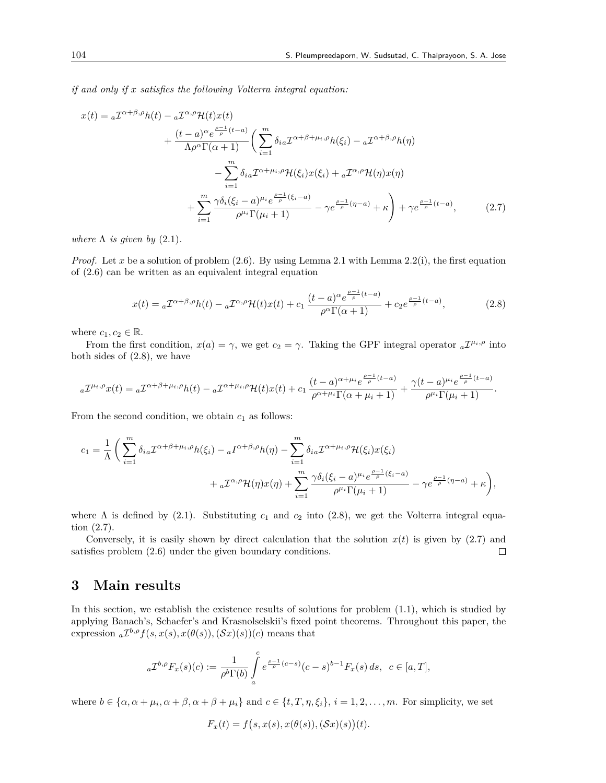*if and only if x satisfies the following Volterra integral equation:*

$$
x(t) = {}_{a} \mathcal{I}^{\alpha+\beta,\rho} h(t) - {}_{a} \mathcal{I}^{\alpha,\rho} \mathcal{H}(t) x(t)
$$
  
+ 
$$
\frac{(t-a)^{\alpha} e^{\frac{\rho-1}{\rho}(t-a)}}{\Lambda \rho^{\alpha} \Gamma(\alpha+1)} \left( \sum_{i=1}^{m} \delta_{ia} \mathcal{I}^{\alpha+\beta+\mu_{i},\rho} h(\xi_{i}) - {}_{a} \mathcal{I}^{\alpha+\beta,\rho} h(\eta) \right)
$$
  
- 
$$
\sum_{i=1}^{m} \delta_{ia} \mathcal{I}^{\alpha+\mu_{i},\rho} \mathcal{H}(\xi_{i}) x(\xi_{i}) + {}_{a} \mathcal{I}^{\alpha,\rho} \mathcal{H}(\eta) x(\eta)
$$
  
+ 
$$
\sum_{i=1}^{m} \frac{\gamma \delta_{i} (\xi_{i}-a)^{\mu_{i}} e^{\frac{\rho-1}{\rho}(\xi_{i}-a)}}{\rho^{\mu_{i}} \Gamma(\mu_{i}+1)} - \gamma e^{\frac{\rho-1}{\rho}(\eta-a)} + \kappa + \gamma e^{\frac{\rho-1}{\rho}(t-a)}, \qquad (2.7)
$$

*where*  $\Lambda$  *is given by* (2.1).

*Proof.* Let x be a solution of problem  $(2.6)$ . By using Lemma 2.1 with Lemma 2.2(i), the first equation of (2.6) can be written as an equivalent integral equation

$$
x(t) = {}_a \mathcal{I}^{\alpha+\beta,\rho} h(t) - {}_a \mathcal{I}^{\alpha,\rho} \mathcal{H}(t) x(t) + c_1 \frac{(t-a)^{\alpha} e^{\frac{\rho-1}{\rho}(t-a)}}{\rho^{\alpha} \Gamma(\alpha+1)} + c_2 e^{\frac{\rho-1}{\rho}(t-a)}, \tag{2.8}
$$

where  $c_1, c_2 \in \mathbb{R}$ .

From the first condition,  $x(a) = \gamma$ , we get  $c_2 = \gamma$ . Taking the GPF integral operator  ${}_{a}\mathcal{I}^{\mu_i,\rho}$  into both sides of (2.8), we have

$$
{}_{a}\mathcal{I}^{\mu_i,\rho}x(t) = {}_{a}\mathcal{I}^{\alpha+\beta+\mu_i,\rho}h(t) - {}_{a}\mathcal{I}^{\alpha+\mu_i,\rho}\mathcal{H}(t)x(t) + c_1\frac{(t-a)^{\alpha+\mu_i}e^{\frac{\rho-1}{\rho}(t-a)}}{\rho^{\alpha+\mu_i}\Gamma(\alpha+\mu_i+1)} + \frac{\gamma(t-a)^{\mu_i}e^{\frac{\rho-1}{\rho}(t-a)}}{\rho^{\mu_i}\Gamma(\mu_i+1)}.
$$

From the second condition, we obtain  $c_1$  as follows:

$$
c_1 = \frac{1}{\Lambda} \left( \sum_{i=1}^m \delta_{ia} \mathcal{I}^{\alpha+\beta+\mu_i,\rho} h(\xi_i) - aI^{\alpha+\beta,\rho} h(\eta) - \sum_{i=1}^m \delta_{ia} \mathcal{I}^{\alpha+\mu_i,\rho} \mathcal{H}(\xi_i) x(\xi_i) + a \mathcal{I}^{\alpha,\rho} \mathcal{H}(\eta) x(\eta) + \sum_{i=1}^m \frac{\gamma \delta_i (\xi_i - a)^{\mu_i} e^{\frac{\rho-1}{\rho} (\xi_i - a)}}{\rho^{\mu_i} \Gamma(\mu_i + 1)} - \gamma e^{\frac{\rho-1}{\rho} (\eta - a)} + \kappa \right),
$$

where  $\Lambda$  is defined by (2.1). Substituting  $c_1$  and  $c_2$  into (2.8), we get the Volterra integral equation (2.7).

Conversely, it is easily shown by direct calculation that the solution  $x(t)$  is given by (2.7) and satisfies problem (2.6) under the given boundary conditions.  $\Box$ 

## **3 Main results**

In this section, we establish the existence results of solutions for problem (1.1), which is studied by applying Banach's, Schaefer's and Krasnolselskii's fixed point theorems. Throughout this paper, the expression  ${}_{a}\mathcal{I}^{b,\rho}f(s,x(s),x(\theta(s)),(\mathcal{S}x)(s))(c)$  means that

$$
{_a\mathcal{I}^{b,\rho}}F_x(s)(c):=\frac{1}{\rho^b\Gamma(b)}\int\limits_a^c e^{\frac{\rho-1}\rho(c-s)}(c-s)^{b-1}F_x(s)\,ds,\;\;c\in[a,T],
$$

where  $b \in \{\alpha, \alpha + \mu_i, \alpha + \beta, \alpha + \beta + \mu_i\}$  and  $c \in \{t, T, \eta, \xi_i\}, i = 1, 2, \dots, m$ . For simplicity, we set

$$
F_x(t) = f(s, x(s), x(\theta(s)), (\mathcal{S}x)(s))(t).
$$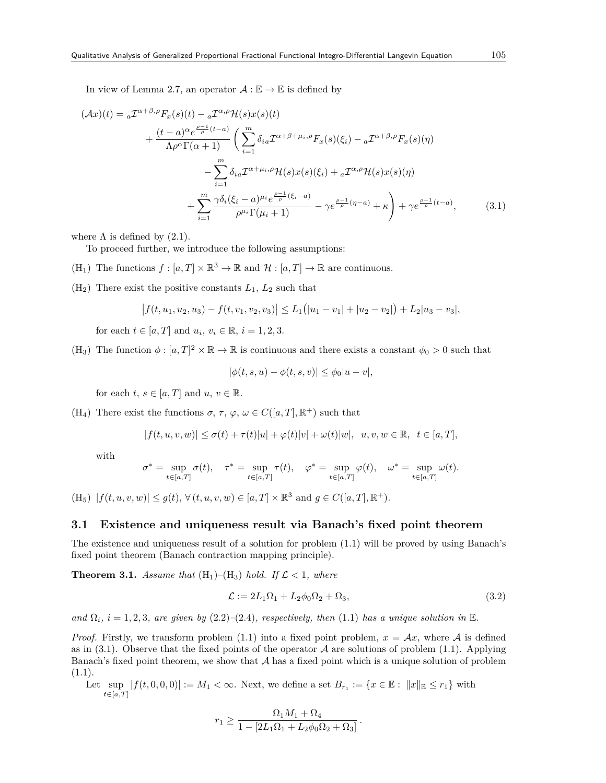In view of Lemma 2.7, an operator  $\mathcal{A} : \mathbb{E} \to \mathbb{E}$  is defined by

$$
(\mathcal{A}x)(t) = {}_{a}\mathcal{I}^{\alpha+\beta,\rho}F_{x}(s)(t) - {}_{a}\mathcal{I}^{\alpha,\rho}\mathcal{H}(s)x(s)(t)
$$
  
+ 
$$
\frac{(t-a)^{\alpha}e^{\frac{\rho-1}{\rho}(t-a)}}{\Lambda\rho^{\alpha}\Gamma(\alpha+1)} \left(\sum_{i=1}^{m} \delta_{ia}\mathcal{I}^{\alpha+\beta+\mu_{i},\rho}F_{x}(s)(\xi_{i}) - {}_{a}\mathcal{I}^{\alpha+\beta,\rho}F_{x}(s)(\eta)\right)
$$
  
- 
$$
\sum_{i=1}^{m} \delta_{ia}\mathcal{I}^{\alpha+\mu_{i},\rho}\mathcal{H}(s)x(s)(\xi_{i}) + {}_{a}\mathcal{I}^{\alpha,\rho}\mathcal{H}(s)x(s)(\eta)
$$
  
+ 
$$
\sum_{i=1}^{m} \frac{\gamma\delta_{i}(\xi_{i}-a)^{\mu_{i}}e^{\frac{\rho-1}{\rho}(\xi_{i}-a)}}{\rho^{\mu_{i}}\Gamma(\mu_{i}+1)} - \gamma e^{\frac{\rho-1}{\rho}(\eta-a)} + \kappa + \gamma e^{\frac{\rho-1}{\rho}(t-a)}, \qquad (3.1)
$$

where  $\Lambda$  is defined by  $(2.1)$ .

To proceed further, we introduce the following assumptions:

- (H<sub>1</sub>) The functions  $f : [a, T] \times \mathbb{R}^3 \to \mathbb{R}$  and  $\mathcal{H} : [a, T] \to \mathbb{R}$  are continuous.
- $(H_2)$  There exist the positive constants  $L_1$ ,  $L_2$  such that

$$
|f(t, u_1, u_2, u_3) - f(t, v_1, v_2, v_3)| \le L_1(|u_1 - v_1| + |u_2 - v_2|) + L_2|u_3 - v_3|,
$$

for each  $t \in [a, T]$  and  $u_i, v_i \in \mathbb{R}, i = 1, 2, 3$ .

(H<sub>3</sub>) The function  $\phi : [a, T]^2 \times \mathbb{R} \to \mathbb{R}$  is continuous and there exists a constant  $\phi_0 > 0$  such that

$$
|\phi(t,s,u) - \phi(t,s,v)| \le \phi_0 |u - v|,
$$

for each  $t, s \in [a, T]$  and  $u, v \in \mathbb{R}$ .

(H<sub>4</sub>) There exist the functions  $\sigma$ ,  $\tau$ ,  $\varphi$ ,  $\omega \in C([a, T], \mathbb{R}^+)$  such that

$$
|f(t, u, v, w)| \le \sigma(t) + \tau(t)|u| + \varphi(t)|v| + \omega(t)|w|, \ \ u, v, w \in \mathbb{R}, \ \ t \in [a, T],
$$

with

$$
\sigma^* = \sup_{t \in [a,T]} \sigma(t), \quad \tau^* = \sup_{t \in [a,T]} \tau(t), \quad \varphi^* = \sup_{t \in [a,T]} \varphi(t), \quad \omega^* = \sup_{t \in [a,T]} \omega(t).
$$

 $(H_5)$   $|f(t, u, v, w)| \le g(t), \forall (t, u, v, w) \in [a, T] \times \mathbb{R}^3 \text{ and } g \in C([a, T], \mathbb{R}^+).$ 

### **3.1 Existence and uniqueness result via Banach's fixed point theorem**

The existence and uniqueness result of a solution for problem (1.1) will be proved by using Banach's fixed point theorem (Banach contraction mapping principle).

**Theorem 3.1.** *Assume that*  $(H_1)$ – $(H_3)$  *hold.* If  $\mathcal{L} < 1$ *, where* 

$$
\mathcal{L} := 2L_1\Omega_1 + L_2\phi_0\Omega_2 + \Omega_3,\tag{3.2}
$$

*and*  $\Omega_i$ *,*  $i = 1, 2, 3$ *, are given by* (2.2)*–*(2.4)*, respectively, then* (1.1) *has a unique solution in* E*.* 

*Proof.* Firstly, we transform problem (1.1) into a fixed point problem,  $x = Ax$ , where *A* is defined as in  $(3.1)$ . Observe that the fixed points of the operator *A* are solutions of problem  $(1.1)$ . Applying Banach's fixed point theorem, we show that *A* has a fixed point which is a unique solution of problem  $(1.1).$ 

Let sup *t∈*[*a,T*]  $|f(t, 0, 0, 0)| := M_1 < \infty$ . Next, we define a set  $B_{r_1} := \{x \in \mathbb{E} : ||x||_{\mathbb{E}} \le r_1\}$  with

$$
r_1 \ge \frac{\Omega_1 M_1 + \Omega_4}{1 - [2L_1 \Omega_1 + L_2 \phi_0 \Omega_2 + \Omega_3]}.
$$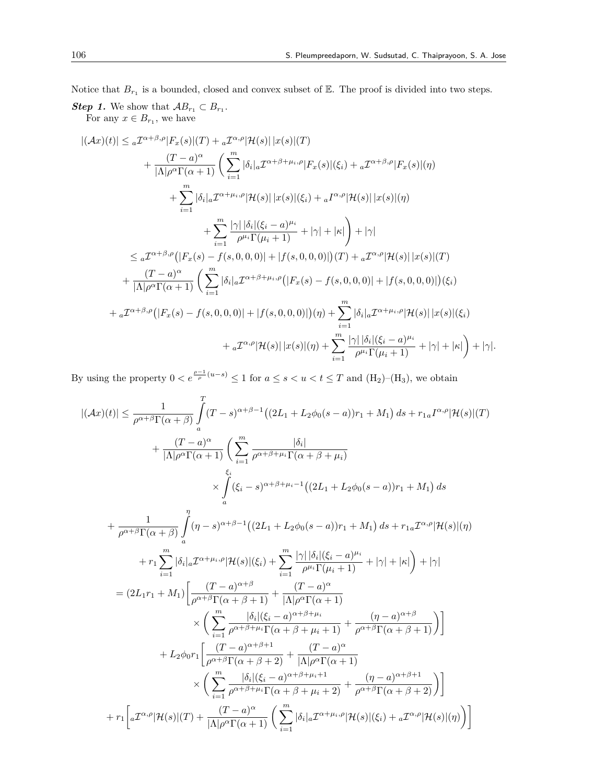Notice that  $B_{r_1}$  is a bounded, closed and convex subset of  $\mathbb E$ . The proof is divided into two steps.

*Step 1.* We show that  $AB_{r_1} \subset B_{r_1}$ . For any  $x \in B_{r_1}$ , we have

$$
|(\mathcal{A}x)(t)| \leq a \mathcal{I}^{\alpha+\beta,\rho}|F_x(s)|(T) + a \mathcal{I}^{\alpha,\rho}|\mathcal{H}(s)| |x(s)|(T) + \frac{(T-a)^{\alpha}}{|\Lambda|\rho^{\alpha}\Gamma(\alpha+1)} \left( \sum_{i=1}^{m} |\delta_i|_a \mathcal{I}^{\alpha+\beta+\mu_i,\rho}|F_x(s)|(\xi_i) + a \mathcal{I}^{\alpha+\beta,\rho}|F_x(s)|(\eta) \right. + \sum_{i=1}^{m} |\delta_i|_a \mathcal{I}^{\alpha+\mu_i,\rho}|\mathcal{H}(s)| |x(s)|(\xi_i) + a \mathcal{I}^{\alpha,\rho}|\mathcal{H}(s)| |x(s)|(\eta) + \sum_{i=1}^{m} \frac{|\gamma| |\delta_i|(\xi_i-a)^{\mu_i}}{\rho^{\mu_i}\Gamma(\mu_i+1)} + |\gamma| + |\kappa| \right) + |\gamma| 
$$
\leq a \mathcal{I}^{\alpha+\beta,\rho} \left( |F_x(s) - f(s,0,0,0)| + |f(s,0,0,0)| \right) (T) + a \mathcal{I}^{\alpha,\rho}|\mathcal{H}(s)| |x(s)|(T) + \frac{(T-a)^{\alpha}}{|\Lambda|\rho^{\alpha}\Gamma(\alpha+1)} \left( \sum_{i=1}^{m} |\delta_i|_a \mathcal{I}^{\alpha+\beta+\mu_i,\rho} (|F_x(s) - f(s,0,0,0)| + |f(s,0,0,0)|) (\xi_i) + a \mathcal{I}^{\alpha+\beta,\rho} (|F_x(s) - f(s,0,0,0)| + |f(s,0,0,0)|) (\eta) + \sum_{i=1}^{m} |\delta_i|_a \mathcal{I}^{\alpha+\mu_i,\rho}|\mathcal{H}(s)| |x(s)|(\xi_i) + a \mathcal{I}^{\alpha,\rho}|\mathcal{H}(s)| |x(s)| |\eta) + \sum_{i=1}^{m} \frac{|\gamma| |\delta_i| (\xi_i-a)^{\mu_i}}{\rho^{\mu_i}\Gamma(\mu_i+1)} + |\gamma| + |\kappa| \right) + |\gamma|.
$$
$$

By using the property  $0 < e^{\frac{\rho-1}{\rho}(u-s)} \leq 1$  for  $a \leq s < u < t \leq T$  and  $(H_2)$ – $(H_3)$ , we obtain

$$
|(\mathcal{A}x)(t)| \leq \frac{1}{\rho^{\alpha+\beta}\Gamma(\alpha+\beta)} \int_{a}^{T} (T-s)^{\alpha+\beta-1} ((2L_{1}+L_{2}\phi_{0}(s-a))r_{1}+M_{1}) ds + r_{1a}I^{\alpha,\rho}|\mathcal{H}(s)|(T)
$$
  
+ 
$$
\frac{(T-a)^{\alpha}}{|\Lambda|\rho^{\alpha}\Gamma(\alpha+1)} \left(\sum_{i=1}^{m} \frac{|\delta_{i}|}{\rho^{\alpha+\beta+\mu_{i}}\Gamma(\alpha+\beta+\mu_{i})}\right)
$$
  

$$
\times \int_{a}^{\xi_{i}} (\xi_{i}-s)^{\alpha+\beta+\mu_{i}-1} ((2L_{1}+L_{2}\phi_{0}(s-a))r_{1}+M_{1}) ds
$$
  
+ 
$$
\frac{1}{\rho^{\alpha+\beta}\Gamma(\alpha+\beta)} \int_{a}^{\eta} (\eta-s)^{\alpha+\beta-1} ((2L_{1}+L_{2}\phi_{0}(s-a))r_{1}+M_{1}) ds + r_{1a}I^{\alpha,\rho}|\mathcal{H}(s)|( \eta)
$$
  
+ 
$$
r_{1} \sum_{i=1}^{m} |\delta_{i}|_{a}I^{\alpha+\mu_{i},\rho}|\mathcal{H}(s)|( \xi_{i}) + \sum_{i=1}^{m} \frac{|\gamma| |\delta_{i}|(\xi_{i}-a)^{\mu_{i}}}{\rho^{\mu_{i}}\Gamma(\mu_{i}+1)} + |\gamma| + |\kappa| \right) + |\gamma|
$$
  
= 
$$
(2L_{1}r_{1}+M_{1}) \left[\frac{(T-a)^{\alpha+\beta}}{\rho^{\alpha+\beta}\Gamma(\alpha+\beta+1)} + \frac{(T-a)^{\alpha}}{|\Lambda|\rho^{\alpha}\Gamma(\alpha+1)}\right]
$$
  

$$
\times \left(\sum_{i=1}^{m} \frac{|\delta_{i}|(\xi_{i}-a)^{\alpha+\beta+\mu_{i}}}{\rho^{\alpha+\beta}+\mu_{i}\Gamma(\alpha+\beta+\mu_{i}+1)} + \frac{(\eta-a)^{\alpha+\beta}}{\rho^{\alpha+\beta}\Gamma(\alpha+\beta+1)}\right)\right]
$$
  
+ 
$$
L_{2}\phi_{0}r_{1} \left[\frac{(T-a)^{\alpha+\beta+1}}{\rho^{\alpha+\beta}\Gamma(\alpha+\beta+2)} + \frac{(T-a)^{\alpha}}{|\Lambda|\rho^{\alpha}\Gamma(\alpha+1)}\right]
$$
  
+ 
$$
r_{
$$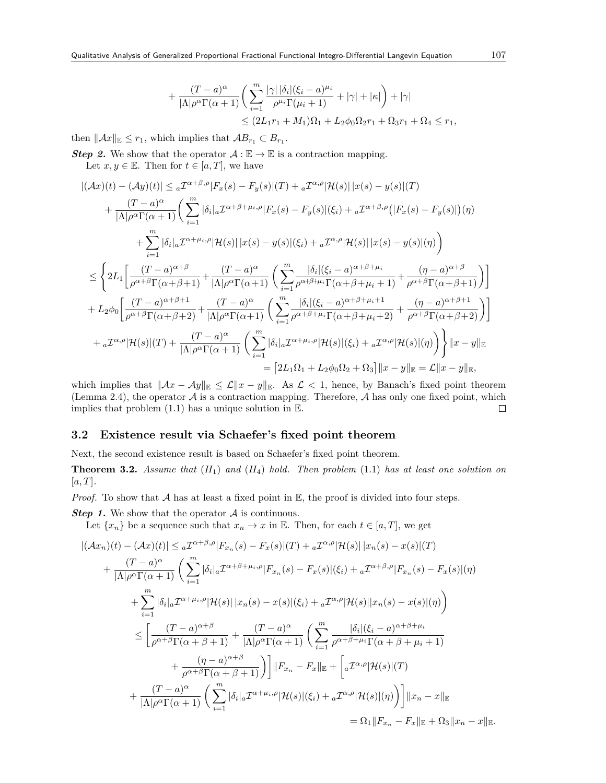$$
+\frac{(T-a)^{\alpha}}{|\Lambda|\rho^{\alpha}\Gamma(\alpha+1)}\bigg(\sum_{i=1}^{m}\frac{|\gamma|\,|\delta_i|(\xi_i-a)^{\mu_i}}{\rho^{\mu_i}\Gamma(\mu_i+1)}+|\gamma|+|\kappa|\bigg)+|\gamma|
$$
  

$$
\leq (2L_1r_1+M_1)\Omega_1+L_2\phi_0\Omega_2r_1+\Omega_3r_1+\Omega_4\leq r_1,
$$

then  $||Ax||_{\mathbb{E}} \leq r_1$ , which implies that  $AB_{r_1} \subset B_{r_1}$ .

*Step 2.* We show that the operator  $A : \mathbb{E} \to \mathbb{E}$  is a contraction mapping.

Let  $x, y \in \mathbb{E}$ . Then for  $t \in [a, T]$ , we have

$$
|(\mathcal{A}x)(t) - (\mathcal{A}y)(t)| \leq {}_{a}\mathcal{I}^{\alpha+\beta,\rho}|F_{x}(s) - F_{y}(s)|(T) + {}_{a}\mathcal{I}^{\alpha,\rho}|\mathcal{H}(s)||x(s) - y(s)|(T)
$$
  
+ 
$$
\frac{(T - a)^{\alpha}}{|\Lambda|\rho^{\alpha}\Gamma(\alpha+1)} \Big( \sum_{i=1}^{m} |\delta_{i}|_{a}\mathcal{I}^{\alpha+\beta+\mu_{i},\rho}|F_{x}(s) - F_{y}(s)|(\xi_{i}) + {}_{a}\mathcal{I}^{\alpha+\beta,\rho}(|F_{x}(s) - F_{y}(s)|)(\eta)
$$
  
+ 
$$
\sum_{i=1}^{m} |\delta_{i}|_{a}\mathcal{I}^{\alpha+\mu_{i},\rho}|\mathcal{H}(s)||x(s) - y(s)|(\xi_{i}) + {}_{a}\mathcal{I}^{\alpha,\rho}|\mathcal{H}(s)||x(s) - y(s)|(\eta) \Big)
$$
  

$$
\leq \left\{ 2L_{1} \Bigg[ \frac{(T - a)^{\alpha+\beta}}{\rho^{\alpha+\beta}\Gamma(\alpha+\beta+1)} + \frac{(T - a)^{\alpha}}{|\Lambda|\rho^{\alpha}\Gamma(\alpha+1)} \Big( \sum_{i=1}^{m} \frac{|\delta_{i}|(\xi_{i} - a)^{\alpha+\beta+\mu_{i}}}{\rho^{\alpha+\beta+\mu_{i}}\Gamma(\alpha+\beta+\mu_{i}+1)} + \frac{(\eta - a)^{\alpha+\beta}}{\rho^{\alpha+\beta}\Gamma(\alpha+\beta+1)} \Big) \Bigg] \right\}
$$
  
+ 
$$
L_{2}\phi_{0} \Bigg[ \frac{(T - a)^{\alpha+\beta+1}}{\rho^{\alpha+\beta}\Gamma(\alpha+\beta+2)} + \frac{(T - a)^{\alpha}}{|\Lambda|\rho^{\alpha}\Gamma(\alpha+1)} \Big( \sum_{i=1}^{m} \frac{|\delta_{i}|(\xi_{i} - a)^{\alpha+\beta+\mu_{i}+1}}{\rho^{\alpha+\beta+\mu_{i}}\Gamma(\alpha+\beta+\mu_{i}+2)} + \frac{(\eta - a)^{\alpha+\beta+1}}{\rho^{\alpha+\beta}\Gamma(\alpha+\beta+2)} \Big) \Bigg] \Bigg] + {}_{a}\mathcal{I}^{\alpha,\rho}|\mathcal{H}(s)|(T) + \frac{(T - a)^{\alpha}}{|\Lambda|\rho^{\alpha}\Gamma(\alpha+1)} \Big( \sum_{i=1}^{m} |\delta_{i
$$

which implies that  $||Ax - Ay||_{\mathbb{E}} \leq \mathcal{L}||x - y||_{\mathbb{E}}$ . As  $\mathcal{L} < 1$ , hence, by Banach's fixed point theorem (Lemma 2.4), the operator *A* is a contraction mapping. Therefore, *A* has only one fixed point, which implies that problem  $(1.1)$  has a unique solution in  $\mathbb{E}$ .  $\Box$ 

### **3.2 Existence result via Schaefer's fixed point theorem**

Next, the second existence result is based on Schaefer's fixed point theorem.

**Theorem 3.2.** *Assume that* (*H*1) *and* (*H*4) *hold. Then problem* (1.1) *has at least one solution on* [*a, T*]*.*

*Proof.* To show that *A* has at least a fixed point in  $E$ , the proof is divided into four steps.

*Step 1.* We show that the operator *A* is continuous.

Let  $\{x_n\}$  be a sequence such that  $x_n \to x$  in E. Then, for each  $t \in [a, T]$ , we get

$$
|(\mathcal{A}x_n)(t) - (\mathcal{A}x)(t)| \leq {}_{a}\mathcal{I}^{\alpha+\beta,\rho}|F_{x_n}(s) - F_x(s)|(T) + {}_{a}\mathcal{I}^{\alpha,\rho}|\mathcal{H}(s)||x_n(s) - x(s)|(T)
$$
  
+ 
$$
\frac{(T - a)^{\alpha}}{|\Lambda|\rho^{\alpha}\Gamma(\alpha+1)} \left( \sum_{i=1}^{m} |\delta_i| {}_{a}\mathcal{I}^{\alpha+\beta+\mu_i,\rho}|F_{x_n}(s) - F_x(s)|(\xi_i) + {}_{a}\mathcal{I}^{\alpha+\beta,\rho}|F_{x_n}(s) - F_x(s)|(\eta) \right)
$$
  
+ 
$$
\sum_{i=1}^{m} |\delta_i| {}_{a}\mathcal{I}^{\alpha+\mu_i,\rho}|\mathcal{H}(s)||x_n(s) - x(s)|(\xi_i) + {}_{a}\mathcal{I}^{\alpha,\rho}|\mathcal{H}(s)||x_n(s) - x(s)|(\eta) \right)
$$
  

$$
\leq \left[ \frac{(T - a)^{\alpha+\beta}}{\rho^{\alpha+\beta}\Gamma(\alpha+\beta+1)} + \frac{(T - a)^{\alpha}}{|\Lambda|\rho^{\alpha}\Gamma(\alpha+1)} \left( \sum_{i=1}^{m} \frac{|\delta_i|(\xi_i - a)^{\alpha+\beta+\mu_i}}{\rho^{\alpha+\beta+\mu_i}\Gamma(\alpha+\beta+\mu_i+1)} + \frac{(\eta - a)^{\alpha+\beta}}{\rho^{\alpha+\beta}\Gamma(\alpha+\beta+1)} \right) \right] ||F_{x_n} - F_x||_{\mathbb{E}} + \left[ {}_{a}\mathcal{I}^{\alpha,\rho}|\mathcal{H}(s)|(T) + \frac{(T - a)^{\alpha}}{|\Lambda|\rho^{\alpha}\Gamma(\alpha+1)} \left( \sum_{i=1}^{m} |\delta_i| {}_{a}\mathcal{I}^{\alpha+\mu_i,\rho}|\mathcal{H}(s)|(\xi_i) + {}_{a}\mathcal{I}^{\alpha,\rho}|\mathcal{H}(s)|(\eta) \right) \right] ||x_n - x||_{\mathbb{E}}
$$
  
= 
$$
\Omega_1 ||F_{x_n} - F_x||_{\mathbb{E}} + \Omega_3 ||x_n - x||_{\mathbb{E}}
$$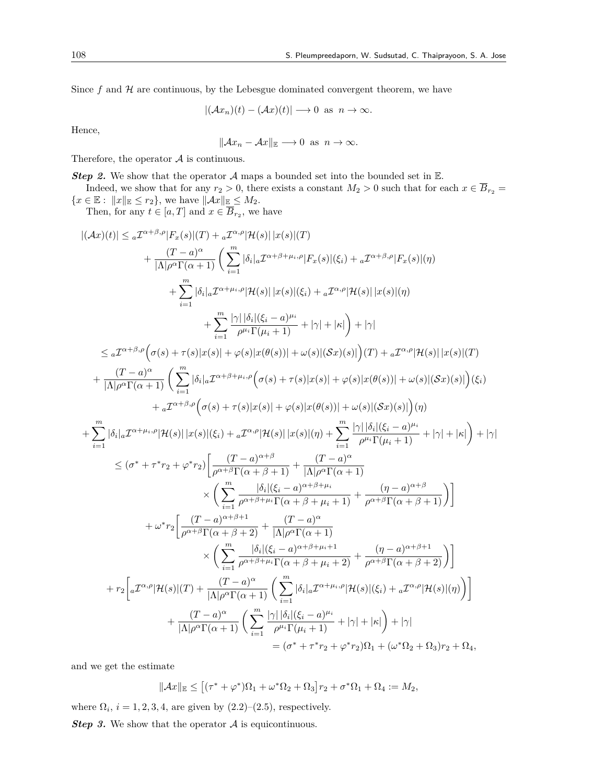Since f and  $H$  are continuous, by the Lebesgue dominated convergent theorem, we have

$$
|(\mathcal{A}x_n)(t) - (\mathcal{A}x)(t)| \longrightarrow 0 \text{ as } n \longrightarrow \infty.
$$

Hence,

$$
\|\mathcal{A}x_n - \mathcal{A}x\|_{\mathbb{E}} \longrightarrow 0 \text{ as } n \longrightarrow \infty.
$$

Therefore, the operator  $A$  is continuous.

*Step 2.* We show that the operator *A* maps a bounded set into the bounded set in E.

Indeed, we show that for any  $r_2 > 0$ , there exists a constant  $M_2 > 0$  such that for each  $x \in \overline{B}_{r_2}$  =  ${x \in \mathbb{E}: \|x\|_{\mathbb{E}} \leq r_2},$  we have  $\|\mathcal{A}x\|_{\mathbb{E}} \leq M_2$ .

Then, for any  $t \in [a, T]$  and  $x \in \overline{B}_{r_2}$ , we have

$$
|\langle Ax \rangle(t)| \leq {}_{a} \mathcal{I}^{\alpha+\beta,\rho}|F_{x}(s)|(T) + {}_{a} \mathcal{I}^{\alpha,\rho}| \mathcal{H}(s)| |x(s)|(T) \\ + \frac{(T-a)^{\alpha}}{|\Lambda|\rho^{\alpha}\Gamma(\alpha+1)} \left( \sum_{i=1}^{m} |\delta_{i}|_{a} \mathcal{I}^{\alpha+\beta+\mu,\rho}|F_{x}(s)|(\xi_{i}) + {}_{a} \mathcal{I}^{\alpha+\beta,\rho}|F_{x}(s)|(\eta) \right. \\ + \sum_{i=1}^{m} |\delta_{i}|_{a} \mathcal{I}^{\alpha+\mu,\rho}|\mathcal{H}(s)| |x(s)|(\xi_{i}) + {}_{a} \mathcal{I}^{\alpha,\rho}|\mathcal{H}(s)| |x(s)|(\eta) \\ + \sum_{i=1}^{m} \frac{|\gamma| |\delta_{i}|(\xi_{i}-a)^{\mu_{i}}}{\rho^{\mu_{i}\Gamma}(\mu_{i}+1)} + |\gamma| + |\kappa| \right) + |\gamma| \\ \leq {}_{a} \mathcal{I}^{\alpha+\beta,\rho} \Big( \sigma(s)+\tau(s)|x(s)| + \varphi(s)|x(\theta(s))| + \omega(s)|(\mathcal{S}x)(s)| \Big) (T) + {}_{a} \mathcal{I}^{\alpha,\rho}|\mathcal{H}(s)| |x(s)|(T) \\ + \frac{(T-a)^{\alpha}}{|\Lambda|\rho^{\alpha}\Gamma(\alpha+1)} \left( \sum_{i=1}^{m} |\delta_{i}|_{a} \mathcal{I}^{\alpha+\beta+\mu,\rho} \Big( \sigma(s)+\tau(s)|x(s)| + \varphi(s)|x(\theta(s))| + \omega(s)|(\mathcal{S}x)(s)| \Big) (\xi_{i}) \right. \\ + {}_{a} \mathcal{I}^{\alpha+\beta,\rho} \Big( \sigma(s)+\tau(s)|x(s)| + \varphi(s)|x(\theta(s))| + \omega(s)|(\mathcal{S}x)(s)| \Big) (\eta) \\ + \sum_{i=1}^{m} |\delta_{i}|_{a} \mathcal{I}^{\alpha+\mu_{i},\rho} |\mathcal{H}(s)| |x(s)|(\xi_{i}) + {}_{a} \mathcal{I}^{\alpha,\rho}|\mathcal{H}(s)| |x(s)|(\eta) + \sum_{i=1}^{m} \frac{|\gamma| |\delta_{i}|(\xi_{i}-a)^{\mu_{i}}}{\rho^{\mu_{i}\Gamma}(\mu_{i}+1)} + |\gamma| + |\kappa| \Big
$$

and we get the estimate

 $||Ax||_{\mathbb{E}} \leq [(\tau^* + \varphi^*)\Omega_1 + \omega^*\Omega_2 + \Omega_3]r_2 + \sigma^*\Omega_1 + \Omega_4 := M_2$ 

where  $\Omega_i$ ,  $i = 1, 2, 3, 4$ , are given by  $(2.2)$ – $(2.5)$ , respectively.

*Step 3.* We show that the operator *A* is equicontinuous.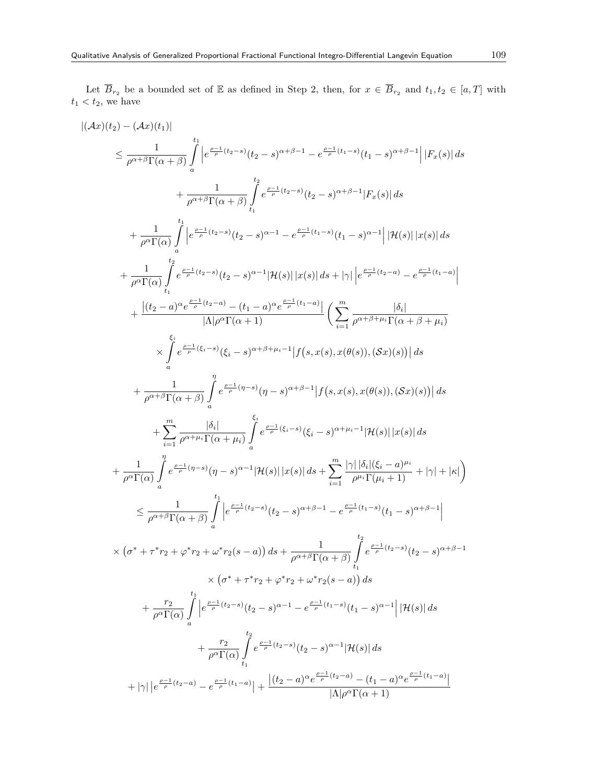Let  $B_{r_2}$  be a bounded set of E as defined in Step 2, then, for  $x \in B_{r_2}$  and  $t_1, t_2 \in [a, T]$  with  $t_1 < t_2$ , we have

$$
|(Ax)(t_{2}) - (Ax)(t_{1})|
$$
\n
$$
\leq \frac{1}{\rho^{\alpha+\beta}\Gamma(\alpha+\beta)} \int_{a}^{t_{1}} \left| e^{\frac{\rho-1}{\rho}(t_{2}-s)}(t_{2}-s)^{\alpha+\beta-1} - e^{\frac{\rho-1}{\rho}(t_{1}-s)}(t_{1}-s)^{\alpha+\beta-1} \right| |F_{x}(s)| ds
$$
\n
$$
+ \frac{1}{\rho^{\alpha}\Gamma(\alpha)} \int_{t_{1}}^{t_{2}} \left| e^{\frac{\rho-1}{\rho}(t_{2}-s)}(t_{2}-s)^{\alpha-1} - e^{\frac{\rho-1}{\rho}(t_{1}-s)}(t_{1}-s)^{\alpha-1} \right| |{\mathcal{H}}(s)| |x(s)| ds
$$
\n
$$
+ \frac{1}{\rho^{\alpha}\Gamma(\alpha)} \int_{t_{1}}^{t_{2}} \left| e^{\frac{\rho-1}{\rho}(t_{2}-s)}(t_{2}-s)^{\alpha-1} - e^{\frac{\rho-1}{\rho}(t_{1}-s)}(t_{1}-s)^{\alpha-1} \right| |{\mathcal{H}}(s)| |x(s)| ds
$$
\n
$$
+ \frac{1}{\rho^{\alpha}\Gamma(\alpha)} \int_{t_{1}}^{t_{2}} e^{\frac{\rho-1}{\rho}(t_{2}-s)}(t_{2}-s)^{\alpha-1} |{\mathcal{H}}(s)| |x(s)| ds + |\gamma| \left| e^{\frac{\rho-1}{\rho}(t_{2}-a)} - e^{\frac{\rho-1}{\rho}(t_{1}-a)} \right|
$$
\n
$$
+ \frac{|t_{2}-a|^{\alpha}e^{\frac{\rho-1}{\rho}(t_{2}-a)} - (t_{1}-a)^{\alpha}e^{\frac{\rho-1}{\rho}(t_{1}-a)}}{|\lambda|\rho^{\alpha}\Gamma(\alpha+1)} \left| \left( \sum_{i=1}^{m} \frac{|\delta_{i}|}{\rho^{\alpha+\beta+\mu_{1}}\Gamma(\alpha+\beta+\mu_{i})} \right| ds
$$
\n
$$
+ \frac{1}{\rho^{\alpha+\beta}\Gamma(\alpha+\beta)} \int_{a}^{b} e^{\frac{\rho-1}{\rho}(t_{1}-s)}(\eta-s)^{\alpha+\beta-1} |f(s,x(s),x(\theta(s)),(Sx)(s))| ds
$$
\n
$$
+ \frac{1}{\rho^{\alpha+\beta}\Gamma(\alpha+\beta
$$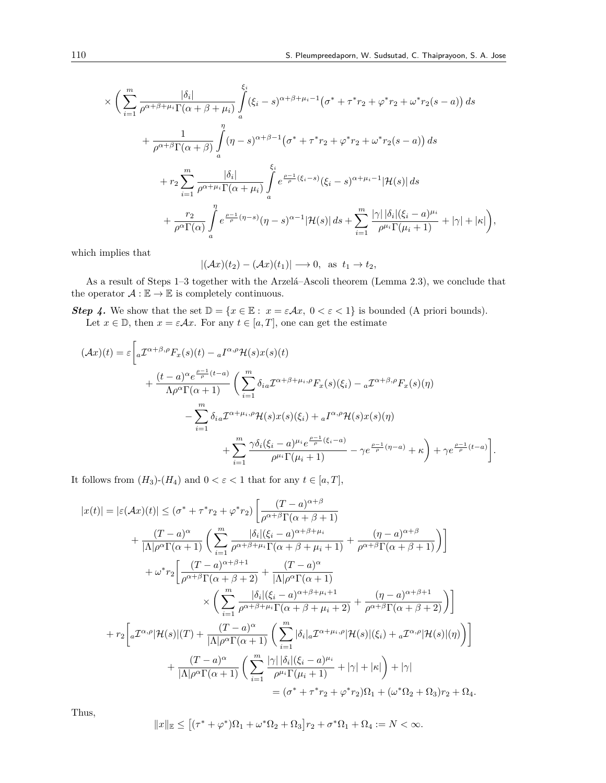$$
\times \left( \sum_{i=1}^{m} \frac{|\delta_{i}|}{\rho^{\alpha+\beta+\mu_{i}} \Gamma(\alpha+\beta+\mu_{i})} \int_{a}^{\xi_{i}} (\xi_{i}-s)^{\alpha+\beta+\mu_{i}-1} (\sigma^{*}+\tau^{*}r_{2}+\varphi^{*}r_{2}+\omega^{*}r_{2}(s-a)) ds +\frac{1}{\rho^{\alpha+\beta} \Gamma(\alpha+\beta)} \int_{a}^{\eta} (\eta-s)^{\alpha+\beta-1} (\sigma^{*}+\tau^{*}r_{2}+\varphi^{*}r_{2}+\omega^{*}r_{2}(s-a)) ds +\frac{1}{r_{2}} \sum_{i=1}^{m} \frac{|\delta_{i}|}{\rho^{\alpha+\mu_{i}} \Gamma(\alpha+\mu_{i})} \int_{a}^{\xi_{i}} e^{\frac{\rho-1}{\rho}(\xi_{i}-s)} (\xi_{i}-s)^{\alpha+\mu_{i}-1} |\mathcal{H}(s)| ds +\frac{r_{2}}{\rho^{\alpha} \Gamma(\alpha)} \int_{a}^{\eta} e^{\frac{\rho-1}{\rho}(\eta-s)} (\eta-s)^{\alpha-1} |\mathcal{H}(s)| ds + \sum_{i=1}^{m} \frac{|\gamma| |\delta_{i}|(\xi_{i}-a)^{\mu_{i}}}{\rho^{\mu_{i}} \Gamma(\mu_{i}+1)} + |\gamma| + |\kappa| \right),
$$

which implies that

$$
|(\mathcal{A}x)(t_2)-(\mathcal{A}x)(t_1)|\longrightarrow 0, \text{ as } t_1\to t_2,
$$

As a result of Steps 1–3 together with the Arzelá–Ascoli theorem (Lemma 2.3), we conclude that the operator  $\mathcal{A} : \mathbb{E} \to \mathbb{E}$  is completely continuous.

*Step 4.* We show that the set  $\mathbb{D} = \{x \in \mathbb{E} : x = \varepsilon \mathcal{A}x, 0 < \varepsilon < 1\}$  is bounded (A priori bounds). Let  $x \in \mathbb{D}$ , then  $x = \varepsilon \mathcal{A}x$ . For any  $t \in [a, T]$ , one can get the estimate

$$
(\mathcal{A}x)(t) = \varepsilon \left[ a \mathcal{I}^{\alpha+\beta,\rho} F_x(s)(t) - a \mathcal{I}^{\alpha,\rho} \mathcal{H}(s)x(s)(t) + \frac{(t-a)^{\alpha} e^{\frac{\rho-1}{\rho}(t-a)}}{\Lambda \rho^{\alpha} \Gamma(\alpha+1)} \left( \sum_{i=1}^m \delta_{ia} \mathcal{I}^{\alpha+\beta+\mu_i,\rho} F_x(s)(\xi_i) - a \mathcal{I}^{\alpha+\beta,\rho} F_x(s)(\eta) - \sum_{i=1}^m \delta_{ia} \mathcal{I}^{\alpha+\mu_i,\rho} \mathcal{H}(s)x(s)(\xi_i) + a \mathcal{I}^{\alpha,\rho} \mathcal{H}(s)x(s)(\eta) + \sum_{i=1}^m \frac{\gamma \delta_i(\xi_i-a)^{\mu_i} e^{\frac{\rho-1}{\rho}(\xi_i-a)}}{\rho^{\mu_i} \Gamma(\mu_i+1)} - \gamma e^{\frac{\rho-1}{\rho}(\eta-a)} + \kappa \right) + \gamma e^{\frac{\rho-1}{\rho}(t-a)} \right].
$$

It follows from  $(H_3)-(H_4)$  and  $0 < \varepsilon < 1$  that for any  $t \in [a, T]$ ,

$$
|x(t)| = |\varepsilon(Ax)(t)| \leq (\sigma^* + \tau^* r_2 + \varphi^* r_2) \left[ \frac{(T - a)^{\alpha + \beta}}{\rho^{\alpha + \beta} \Gamma(\alpha + \beta + 1)} + \frac{(T - a)^{\alpha}}{|\Lambda|\rho^{\alpha} \Gamma(\alpha + 1)} \left( \sum_{i=1}^m \frac{|\delta_i|(\xi_i - a)^{\alpha + \beta + \mu_i}}{\rho^{\alpha + \beta + \mu_i} \Gamma(\alpha + \beta + \mu_i + 1)} + \frac{(n - a)^{\alpha + \beta}}{\rho^{\alpha + \beta} \Gamma(\alpha + \beta + 1)} \right) \right]
$$
  
+ 
$$
\omega^* r_2 \left[ \frac{(T - a)^{\alpha + \beta + 1}}{\rho^{\alpha + \beta} \Gamma(\alpha + \beta + 2)} + \frac{(T - a)^{\alpha}}{|\Lambda|\rho^{\alpha} \Gamma(\alpha + 1)} + \frac{(n - a)^{\alpha + \beta + 1}}{\rho^{\alpha + \beta + \mu_i + 1}} \right]
$$
  

$$
\times \left( \sum_{i=1}^m \frac{|\delta_i|(\xi_i - a)^{\alpha + \beta + \mu_i + 1}}{\rho^{\alpha + \beta + \mu_i} \Gamma(\alpha + \beta + \mu_i + 2)} + \frac{(n - a)^{\alpha + \beta + 1}}{\rho^{\alpha + \beta} \Gamma(\alpha + \beta + 2)} \right) \right]
$$
  
+ 
$$
r_2 \left[ {}_{a} \mathcal{I}^{\alpha, \rho} |\mathcal{H}(s)| (T) + \frac{(T - a)^{\alpha}}{|\Lambda|\rho^{\alpha} \Gamma(\alpha + 1)} \left( \sum_{i=1}^m |\delta_i| {}_{a} \mathcal{I}^{\alpha + \mu_i, \rho} |\mathcal{H}(s)| (\xi_i) + {}_{a} \mathcal{I}^{\alpha, \rho} |\mathcal{H}(s)| (\eta) \right) \right]
$$
  
+ 
$$
\frac{(T - a)^{\alpha}}{|\Lambda|\rho^{\alpha} \Gamma(\alpha + 1)} \left( \sum_{i=1}^m \frac{|\gamma| |\delta_i| (\xi_i - a)^{\mu_i}}{\rho^{\mu_i} \Gamma(\mu_i + 1)} + |\gamma| + |\kappa| \right) + |\gamma|
$$
  
= 
$$
(\sigma^* + \tau^* r_2 + \varphi^* r_2) \Omega_1 + (\omega^* \Omega_2 + \Omega_3) r_2 + \Omega_
$$

Thus,

$$
||x||_{\mathbb{E}} \leq [(\tau^* + \varphi^*)\Omega_1 + \omega^*\Omega_2 + \Omega_3]r_2 + \sigma^*\Omega_1 + \Omega_4 := N < \infty.
$$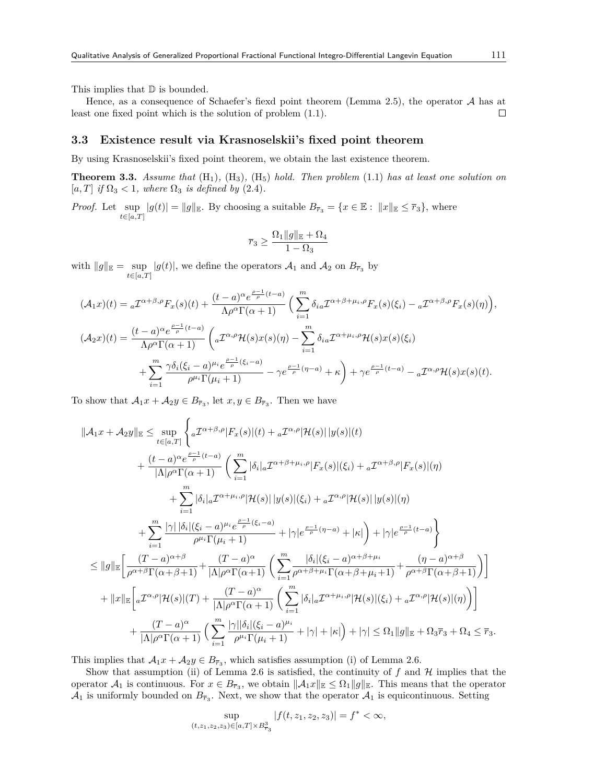This implies that  $D$  is bounded.

Hence, as a consequence of Schaefer's fiexd point theorem (Lemma 2.5), the operator *A* has at least one fixed point which is the solution of problem (1.1).  $\Box$ 

### **3.3 Existence result via Krasnoselskii's fixed point theorem**

By using Krasnoselskii's fixed point theorem, we obtain the last existence theorem.

**Theorem 3.3.** *Assume that* (H1)*,* (H3)*,* (H5) *hold. Then problem* (1.1) *has at least one solution on*  $[a, T]$  *if*  $\Omega_3 < 1$ *, where*  $\Omega_3$  *is defined by* (2.4)*.* 

*Proof.* Let sup  $|g(t)| = ||g||_E$ . By choosing a suitable  $B_{\overline{r}_3} = \{x \in \mathbb{E} : ||x||_E \leq \overline{r}_3\}$ , where *t∈*[*a,T*]

$$
\overline{r}_3 \ge \frac{\Omega_1 \|g\|_{\mathbb{E}} + \Omega_4}{1 - \Omega_3}
$$

with  $||g||_{\mathbb{E}} = \sup$ *t∈*[*a,T*]  $|g(t)|$ , we define the operators  $A_1$  and  $A_2$  on  $B_{\bar{r}_3}$  by

$$
(\mathcal{A}_1 x)(t) = {}_{a} \mathcal{I}^{\alpha+\beta,\rho} F_x(s)(t) + \frac{(t-a)^{\alpha} e^{\frac{\rho-1}{\rho}(t-a)}}{\Lambda \rho^{\alpha} \Gamma(\alpha+1)} \left( \sum_{i=1}^{m} \delta_{ia} \mathcal{I}^{\alpha+\beta+\mu_{i},\rho} F_x(s)(\xi_i) - {}_{a} \mathcal{I}^{\alpha+\beta,\rho} F_x(s)(\eta) \right),
$$
  

$$
(\mathcal{A}_2 x)(t) = \frac{(t-a)^{\alpha} e^{\frac{\rho-1}{\rho}(t-a)}}{\Lambda \rho^{\alpha} \Gamma(\alpha+1)} \left( {}_{a} \mathcal{I}^{\alpha,\rho} \mathcal{H}(s) x(s)(\eta) - \sum_{i=1}^{m} \delta_{ia} \mathcal{I}^{\alpha+\mu_{i},\rho} \mathcal{H}(s) x(s)(\xi_i) \right.
$$
  

$$
+ \sum_{i=1}^{m} \frac{\gamma \delta_i(\xi_i-a)^{\mu_i} e^{\frac{\rho-1}{\rho}(\xi_i-a)}}{\rho^{\mu_i} \Gamma(\mu_i+1)} - \gamma e^{\frac{\rho-1}{\rho}(\eta-a)} + \kappa \right) + \gamma e^{\frac{\rho-1}{\rho}(t-a)} - {}_{a} \mathcal{I}^{\alpha,\rho} \mathcal{H}(s) x(s)(t).
$$

To show that  $A_1x + A_2y \in B_{\overline{r}_3}$ , let  $x, y \in B_{\overline{r}_3}$ . Then we have

$$
\|A_1x + A_2y\|_{\mathbb{E}} \leq \sup_{t \in [a,T]} \left\{ a^{\mathcal{I}^{\alpha+\beta,\rho}} |F_x(s)|(t) + a^{\mathcal{I}^{\alpha,\rho}} |\mathcal{H}(s)| |y(s)|(t) \right.\n+ \frac{(t-a)^{\alpha} e^{\frac{\rho-1}{\rho}(t-a)}}{|\Lambda|\rho^{\alpha}\Gamma(\alpha+1)} \left( \sum_{i=1}^m |\delta_i|_a \mathcal{I}^{\alpha+\beta+\mu_i,\rho} |F_x(s)|(\xi_i) + a^{\mathcal{I}^{\alpha+\beta,\rho}} |F_x(s)|(\eta) \right.\n+ \sum_{i=1}^m |\delta_i|_a \mathcal{I}^{\alpha+\mu_i,\rho} |\mathcal{H}(s)| |y(s)|(\xi_i) + a^{\mathcal{I}^{\alpha,\rho}} |\mathcal{H}(s)| |y(s)|(\eta) \right.\n+ \sum_{i=1}^m \frac{|\gamma| |\delta_i|(\xi_i-a)^{\mu_i} e^{\frac{\rho-1}{\rho}(\xi_i-a)}}{\rho^{\mu_i}\Gamma(\mu_i+1)} + |\gamma|e^{\frac{\rho-1}{\rho}(\eta-a)} + |\kappa| \right\} + |\gamma|e^{\frac{\rho-1}{\rho}(t-a)} \left\} \n\leq \|g\|_{\mathbb{E}} \left[ \frac{(T-a)^{\alpha+\beta}}{\rho^{\alpha+\beta}\Gamma(\alpha+\beta+1)} + \frac{(T-a)^{\alpha}}{|\Lambda|\rho^{\alpha}\Gamma(\alpha+1)} \left( \sum_{i=1}^m \frac{|\delta_i|(\xi_i-a)^{\alpha+\beta+\mu_i}}{\rho^{\alpha+\beta+\mu_i}\Gamma(\alpha+\beta+\mu_i+1)} + \frac{(\eta-a)^{\alpha+\beta}}{\rho^{\alpha+\beta}\Gamma(\alpha+\beta+1)} \right) \right] \n+ \|x\|_{\mathbb{E}} \left[ a^{\mathcal{I}^{\alpha,\rho}} |\mathcal{H}(s)|(T) + \frac{(T-a)^{\alpha}}{|\Lambda|\rho^{\alpha}\Gamma(\alpha+1)} \left( \sum_{i=1}^m |\delta_i|_a \mathcal{I}^{\alpha+\mu_i,\rho} |\mathcal{H}(s)|(\xi_i) + a^{\mathcal{I}^{\alpha,\rho}} |\mathcal{H}(s)|(\eta) \right) \right] \n+ \frac{(T-a)^{\alpha}}{|\Lambda|\rho^{\alpha}\Gamma(\alpha+1)} \left( \sum_{i=1}^m \frac{|\gamma||\
$$

This implies that  $A_1x + A_2y \in B_{\bar{r}_3}$ , which satisfies assumption (i) of Lemma 2.6.

Show that assumption (ii) of Lemma 2.6 is satisfied, the continuity of  $f$  and  $H$  implies that the operator  $\mathcal{A}_1$  is continuous. For  $x \in B_{\overline{r}_3}$ , we obtain  $||\mathcal{A}_1 x||_{\mathbb{E}} \leq \Omega_1 ||g||_{\mathbb{E}}$ . This means that the operator  $A_1$  is uniformly bounded on  $B_{\bar{r}_3}$ . Next, we show that the operator  $A_1$  is equicontinuous. Setting

$$
\sup_{(t,z_1,z_2,z_3)\in[a,T]\times B_{\overline{r}_3}^3} |f(t,z_1,z_2,z_3)| = f^* < \infty,
$$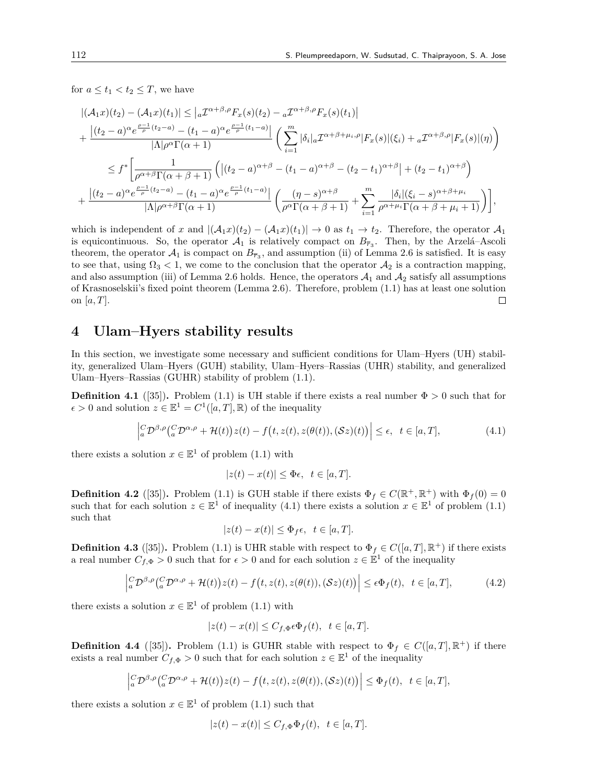for  $a \le t_1 < t_2 \le T$ , we have

$$
\begin{split} &|(\mathcal{A}_1x)(t_2)-(\mathcal{A}_1x)(t_1)|\leq \left|_a\mathcal{I}^{\alpha+\beta,\rho}F_x(s)(t_2)-{}_a\mathcal{I}^{\alpha+\beta,\rho}F_x(s)(t_1)\right|\\ &+\frac{\left|(t_2-a)^\alpha e^{\frac{\rho-1}{\rho}(t_2-a)}-(t_1-a)^\alpha e^{\frac{\rho-1}{\rho}(t_1-a)}\right|}{|\Lambda|\rho^\alpha\Gamma(\alpha+1)}\left(\sum_{i=1}^m|\delta_i|_a\mathcal{I}^{\alpha+\beta+\mu_i,\rho}|F_x(s)|(\xi_i)+{}_a\mathcal{I}^{\alpha+\beta,\rho}|F_x(s)|(\eta)\right)\\ &\leq f^*\bigg[\frac{1}{\rho^{\alpha+\beta}\Gamma(\alpha+\beta+1)}\left(|(t_2-a)^{\alpha+\beta}-(t_1-a)^{\alpha+\beta}-(t_2-t_1)^{\alpha+\beta}|+(t_2-t_1)^{\alpha+\beta}\right)\\ &+\frac{\left|(t_2-a)^\alpha e^{\frac{\rho-1}{\rho}(t_2-a)}-(t_1-a)^\alpha e^{\frac{\rho-1}{\rho}(t_1-a)}\right|}{|\Lambda|\rho^{\alpha+\beta}\Gamma(\alpha+1)}\left(\frac{(\eta-s)^{\alpha+\beta}}{\rho^\alpha\Gamma(\alpha+\beta+1)}+\sum_{i=1}^m\frac{|\delta_i|(\xi_i-s)^{\alpha+\beta+\mu_i}}{\rho^{\alpha+\mu_i}\Gamma(\alpha+\beta+\mu_i+1)}\right)\bigg], \end{split}
$$

which is independent of *x* and  $|(\mathcal{A}_1 x)(t_2) - (\mathcal{A}_1 x)(t_1)| \to 0$  as  $t_1 \to t_2$ . Therefore, the operator  $\mathcal{A}_1$ is equicontinuous. So, the operator  $A_1$  is relatively compact on  $B_{\bar{r}_3}$ . Then, by the Arzelá–Ascoli theorem, the operator  $A_1$  is compact on  $B_{\overline{r}_3}$ , and assumption (ii) of Lemma 2.6 is satisfied. It is easy to see that, using  $\Omega_3 < 1$ , we come to the conclusion that the operator  $\mathcal{A}_2$  is a contraction mapping, and also assumption (iii) of Lemma 2.6 holds. Hence, the operators  $A_1$  and  $A_2$  satisfy all assumptions of Krasnoselskii's fixed point theorem (Lemma 2.6). Therefore, problem (1.1) has at least one solution on [*a, T*].  $\Box$ 

## **4 Ulam–Hyers stability results**

In this section, we investigate some necessary and sufficient conditions for Ulam–Hyers (UH) stability, generalized Ulam–Hyers (GUH) stability, Ulam–Hyers–Rassias (UHR) stability, and generalized Ulam–Hyers–Rassias (GUHR) stability of problem (1.1).

**Definition 4.1** ([35]). Problem (1.1) is UH stable if there exists a real number  $\Phi > 0$  such that for  $\epsilon > 0$  and solution  $z \in \mathbb{E}^1 = C^1([a,T], \mathbb{R})$  of the inequality

$$
\left| {}_{a}^{C} \mathcal{D}^{\beta,\rho} \left( {}_{a}^{C} \mathcal{D}^{\alpha,\rho} + \mathcal{H}(t) \right) z(t) - f\big(t, z(t), z(\theta(t)), (\mathcal{S}z)(t) \big) \right| \le \epsilon, \quad t \in [a, T], \tag{4.1}
$$

there exists a solution  $x \in \mathbb{E}^1$  of problem  $(1.1)$  with

$$
|z(t) - x(t)| \le \Phi \epsilon, \ \ t \in [a, T].
$$

**Definition 4.2** ([35]). Problem (1.1) is GUH stable if there exists  $\Phi_f \in C(\mathbb{R}^+, \mathbb{R}^+)$  with  $\Phi_f(0) = 0$ such that for each solution  $z \in \mathbb{E}^1$  of inequality (4.1) there exists a solution  $x \in \mathbb{E}^1$  of problem (1.1) such that

$$
|z(t) - x(t)| \le \Phi_f \epsilon, \ \ t \in [a, T].
$$

**Definition 4.3** ([35]). Problem (1.1) is UHR stable with respect to  $\Phi_f \in C([a,T], \mathbb{R}^+)$  if there exists a real number  $C_{f, \Phi} > 0$  such that for  $\epsilon > 0$  and for each solution  $z \in \mathbb{E}^1$  of the inequality

$$
\left| {}_{a}^{C} \mathcal{D}^{\beta,\rho} \left( {}_{a}^{C} \mathcal{D}^{\alpha,\rho} + \mathcal{H}(t) \right) z(t) - f\big(t, z(t), z(\theta(t)), (\mathcal{S}z)(t) \big) \right| \le \epsilon \Phi_f(t), \quad t \in [a, T], \tag{4.2}
$$

there exists a solution  $x \in \mathbb{E}^1$  of problem (1.1) with

$$
|z(t) - x(t)| \le C_{f, \Phi} \epsilon \Phi_f(t), \quad t \in [a, T].
$$

**Definition 4.4** ([35]). Problem (1.1) is GUHR stable with respect to  $\Phi_f \in C([a,T], \mathbb{R}^+)$  if there exists a real number  $C_{f, \Phi} > 0$  such that for each solution  $z \in \mathbb{E}^1$  of the inequality

$$
\left| {}_{a}^{C} \mathcal{D}^{\beta,\rho} \left( {}_{a}^{C} \mathcal{D}^{\alpha,\rho} + \mathcal{H}(t) \right) z(t) - f\big(t, z(t), z(\theta(t)), (\mathcal{S}z)(t) \big) \right| \leq \Phi_f(t), \quad t \in [a, T],
$$

there exists a solution  $x \in \mathbb{E}^1$  of problem (1.1) such that

$$
|z(t) - x(t)| \le C_{f, \Phi} \Phi_f(t), \quad t \in [a, T].
$$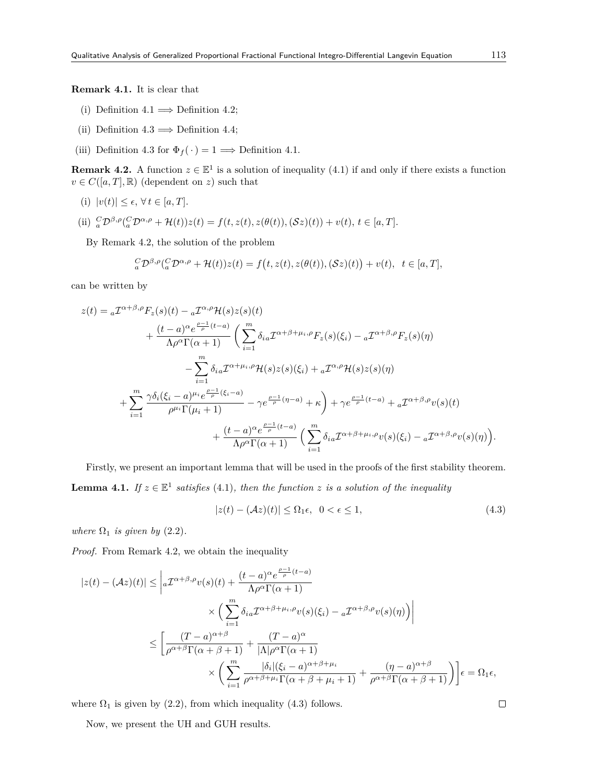#### **Remark 4.1.** It is clear that

- (i) Definition  $4.1 \implies$  Definition  $4.2$ ;
- (ii) Definition  $4.3 \implies$  Definition  $4.4$ ;
- (iii) Definition 4.3 for  $\Phi_f(\cdot) = 1 \Longrightarrow$  Definition 4.1.

**Remark 4.2.** A function  $z \in \mathbb{E}^1$  is a solution of inequality (4.1) if and only if there exists a function  $v \in C([a,T], {\mathbb R})$  (dependent on  $z)$  such that

- (i)  $|v(t)| \le \epsilon, \forall t \in [a, T].$
- (ii)  ${}_{a}^{C} \mathcal{D}^{\beta,\rho}({}_{a}^{C} \mathcal{D}^{\alpha,\rho} + \mathcal{H}(t))z(t) = f(t,z(t),z(\theta(t)),(\mathcal{S}z)(t)) + v(t), t \in [a,T].$

By Remark 4.2, the solution of the problem

$$
_{a}^{C} \mathcal{D}^{\beta,\rho}({}_{a}^{C} \mathcal{D}^{\alpha,\rho} + \mathcal{H}(t))z(t) = f(t,z(t),z(\theta(t)),(\mathcal{S}z)(t)) + v(t), \ \ t \in [a,T],
$$

can be written by

$$
z(t) = {}_{a} \mathcal{I}^{\alpha+\beta,\rho} F_{z}(s)(t) - {}_{a} \mathcal{I}^{\alpha,\rho} \mathcal{H}(s) z(s)(t)
$$
  
+ 
$$
\frac{(t-a)^{\alpha} e^{\frac{\rho-1}{\rho}(t-a)}}{\Lambda \rho^{\alpha} \Gamma(\alpha+1)} \left( \sum_{i=1}^{m} \delta_{ia} \mathcal{I}^{\alpha+\beta+\mu_{i},\rho} F_{z}(s)(\xi_{i}) - {}_{a} \mathcal{I}^{\alpha+\beta,\rho} F_{z}(s)(\eta) - \sum_{i=1}^{m} \delta_{ia} \mathcal{I}^{\alpha+\mu_{i},\rho} \mathcal{H}(s) z(s)(\xi_{i}) + {}_{a} \mathcal{I}^{\alpha,\rho} \mathcal{H}(s) z(s)(\eta) - \sum_{i=1}^{m} \frac{\gamma \delta_{i}(\xi_{i}-a)^{\mu_{i}} e^{\frac{\rho-1}{\rho}(\xi_{i}-a)}}{\rho^{\mu_{i}} \Gamma(\mu_{i}+1)} - \gamma e^{\frac{\rho-1}{\rho}(\eta-a)} + \kappa \right) + \gamma e^{\frac{\rho-1}{\rho}(t-a)} + {}_{a} \mathcal{I}^{\alpha+\beta,\rho} v(s)(t) + \frac{(t-a)^{\alpha} e^{\frac{\rho-1}{\rho}(t-a)}}{\Lambda \rho^{\alpha} \Gamma(\alpha+1)} \left( \sum_{i=1}^{m} \delta_{ia} \mathcal{I}^{\alpha+\beta+\mu_{i},\rho} v(s)(\xi_{i}) - {}_{a} \mathcal{I}^{\alpha+\beta,\rho} v(s)(\eta) \right).
$$

Firstly, we present an important lemma that will be used in the proofs of the first stability theorem. **Lemma 4.1.** *If*  $z \in \mathbb{E}^1$  satisfies (4.1), then the function  $z$  *is a solution of the inequality* 

$$
|z(t) - (\mathcal{A}z)(t)| \le \Omega_1 \epsilon, \ \ 0 < \epsilon \le 1,\tag{4.3}
$$

*where*  $\Omega_1$  *is given by* (2.2).

*Proof.* From Remark 4.2, we obtain the inequality

$$
|z(t) - (\mathcal{A}z)(t)| \leq \left| a\mathcal{I}^{\alpha+\beta,\rho}v(s)(t) + \frac{(t-a)^{\alpha}e^{\frac{\rho-1}{\rho}(t-a)}}{\Lambda\rho^{\alpha}\Gamma(\alpha+1)} \right|
$$
  

$$
\times \left( \sum_{i=1}^{m} \delta_{ia}\mathcal{I}^{\alpha+\beta+\mu_i,\rho}v(s)(\xi_i) - a\mathcal{I}^{\alpha+\beta,\rho}v(s)(\eta) \right) \right|
$$
  

$$
\leq \left[ \frac{(T-a)^{\alpha+\beta}}{\rho^{\alpha+\beta}\Gamma(\alpha+\beta+1)} + \frac{(T-a)^{\alpha}}{|\Lambda|\rho^{\alpha}\Gamma(\alpha+1)} \right]
$$
  

$$
\times \left( \sum_{i=1}^{m} \frac{|\delta_i|(\xi_i-a)^{\alpha+\beta+\mu_i}}{\rho^{\alpha+\beta+\mu_i}\Gamma(\alpha+\beta+\mu_i+1)} + \frac{(\eta-a)^{\alpha+\beta}}{\rho^{\alpha+\beta}\Gamma(\alpha+\beta+1)} \right) \bigg] \epsilon = \Omega_1 \epsilon,
$$

where  $\Omega_1$  is given by (2.2), from which inequality (4.3) follows.

Now, we present the UH and GUH results.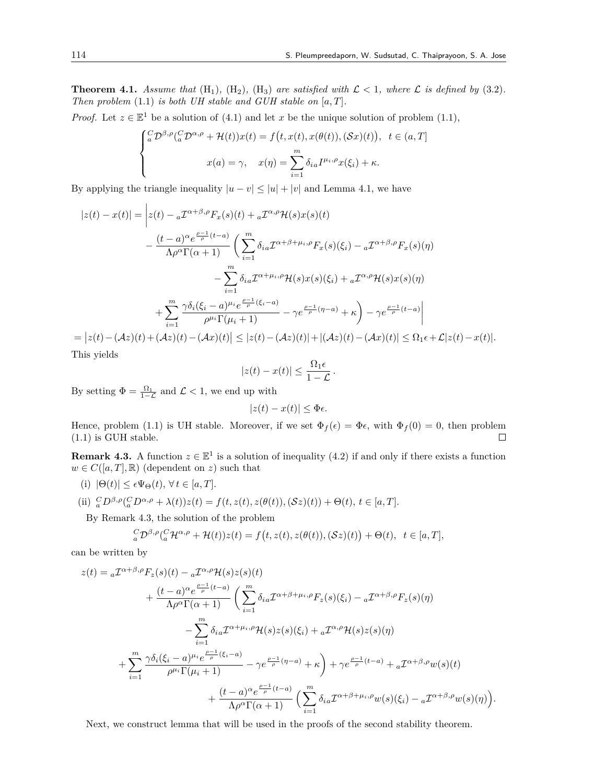**Theorem 4.1.** *Assume that*  $(H_1)$ *,*  $(H_2)$ *,*  $(H_3)$  *are satisfied with*  $\mathcal{L} < 1$ *, where*  $\mathcal{L}$  *is defined by* (3.2)*. Then problem* (1.1) *is both UH stable and GUH stable on* [*a, T*]*.*

*Proof.* Let  $z \in \mathbb{E}^1$  be a solution of (4.1) and let *x* be the unique solution of problem (1.1),

$$
\begin{cases} \binom{C}{a} \mathcal{D}^{\beta,\rho} \binom{C}{a} \mathcal{D}^{\alpha,\rho} + \mathcal{H}(t) \big) x(t) = f(t, x(t), x(\theta(t)), (\mathcal{S}x)(t)), \quad t \in (a, T] \\ x(a) = \gamma, \quad x(\eta) = \sum_{i=1}^{m} \delta_{ia} I^{\mu_i,\rho} x(\xi_i) + \kappa. \end{cases}
$$

By applying the triangle inequality  $|u - v| \leq |u| + |v|$  and Lemma 4.1, we have

$$
|z(t) - x(t)| = \left| z(t) - aT^{\alpha+\beta,\rho} F_x(s)(t) + aT^{\alpha,\rho} \mathcal{H}(s)x(s)(t) - \frac{(t-a)^{\alpha} e^{\frac{\rho-1}{\rho}(t-a)}}{\Lambda \rho^{\alpha} \Gamma(\alpha+1)} \left( \sum_{i=1}^m \delta_{ia} T^{\alpha+\beta+\mu_i,\rho} F_x(s)(\xi_i) - aT^{\alpha+\beta,\rho} F_x(s)(\eta) - \sum_{i=1}^m \delta_{ia} T^{\alpha+\mu_i,\rho} \mathcal{H}(s)x(s)(\xi_i) + aT^{\alpha,\rho} \mathcal{H}(s)x(s)(\eta) \right) \right|
$$
  
+ 
$$
\sum_{i=1}^m \frac{\gamma \delta_i(\xi_i-a)^{\mu_i} e^{\frac{\rho-1}{\rho}(\xi_i-a)}}{\rho^{\mu_i} \Gamma(\mu_i+1)} - \gamma e^{\frac{\rho-1}{\rho}(\eta-a)} + \kappa \left( -\gamma e^{\frac{\rho-1}{\rho}(t-a)} \right)
$$
  
= 
$$
|z(t) - (\mathcal{A}z)(t) + (\mathcal{A}z)(t) - (\mathcal{A}x)(t)| \leq |z(t) - (\mathcal{A}z)(t)| + |(\mathcal{A}z)(t) - (\mathcal{A}x)(t)| \leq \Omega_1 \epsilon + \mathcal{L}|z(t) - x(t)|.
$$

This yields

$$
|z(t) - x(t)| \leq \frac{\Omega_1 \epsilon}{1 - \mathcal{L}}.
$$

By setting  $\Phi = \frac{\Omega_1}{1-\mathcal{L}}$  and  $\mathcal{L} < 1$ , we end up with

$$
|z(t) - x(t)| \le \Phi \epsilon.
$$

Hence, problem (1.1) is UH stable. Moreover, if we set  $\Phi_f(\epsilon) = \Phi_{\epsilon}$ , with  $\Phi_f(0) = 0$ , then problem (1.1) is GUH stable.  $\Box$ 

**Remark 4.3.** A function  $z \in \mathbb{E}^1$  is a solution of inequality (4.2) if and only if there exists a function  $w \in C([a, T], \mathbb{R})$  (dependent on *z*) such that

- $(i)$   $|\Theta(t)| \leq \epsilon \Psi_{\Theta}(t), \forall t \in [a, T].$
- (ii)  ${}_{a}^{C}D^{\beta,\rho}({}_{a}^{C}D^{\alpha,\rho}+\lambda(t))z(t) = f(t,z(t),z(\theta(t)),(\mathcal{S}z)(t)) + \Theta(t), t \in [a,T].$

By Remark 4.3, the solution of the problem

$$
_{a}^{C}D^{\beta,\rho}(_{a}^{C}\mathcal{H}^{\alpha,\rho}+\mathcal{H}(t))z(t)=f\big(t,z(t),z(\theta(t)),(\mathcal{S}z)(t)\big)+\Theta(t),\ \ t\in[a,T],
$$

can be written by

$$
z(t) = {}_{a} \mathcal{I}^{\alpha+\beta,\rho} F_{z}(s)(t) - {}_{a} \mathcal{I}^{\alpha,\rho} \mathcal{H}(s) z(s)(t)
$$
  
+ 
$$
\frac{(t-a)^{\alpha} e^{\frac{\rho-1}{\rho}(t-a)}}{\Lambda \rho^{\alpha} \Gamma(\alpha+1)} \left( \sum_{i=1}^{m} \delta_{ia} \mathcal{I}^{\alpha+\beta+\mu_{i},\rho} F_{z}(s)(\xi_{i}) - {}_{a} \mathcal{I}^{\alpha+\beta,\rho} F_{z}(s)(\eta) - \sum_{i=1}^{m} \delta_{ia} \mathcal{I}^{\alpha+\mu_{i},\rho} \mathcal{H}(s) z(s)(\xi_{i}) + {}_{a} \mathcal{I}^{\alpha,\rho} \mathcal{H}(s) z(s)(\eta) - \sum_{i=1}^{m} \frac{\gamma \delta_{i}(\xi_{i}-a)^{\mu_{i}} e^{\frac{\rho-1}{\rho}(\xi_{i}-a)}}{\rho^{\mu_{i}} \Gamma(\mu_{i}+1)} - \gamma e^{\frac{\rho-1}{\rho}(\eta-a)} + \kappa \right) + \gamma e^{\frac{\rho-1}{\rho}(t-a)} + {}_{a} \mathcal{I}^{\alpha+\beta,\rho} w(s)(t) + \frac{(t-a)^{\alpha} e^{\frac{\rho-1}{\rho}(t-a)}}{\Lambda \rho^{\alpha} \Gamma(\alpha+1)} \left( \sum_{i=1}^{m} \delta_{ia} \mathcal{I}^{\alpha+\beta+\mu_{i},\rho} w(s)(\xi_{i}) - {}_{a} \mathcal{I}^{\alpha+\beta,\rho} w(s)(\eta) \right).
$$

Next, we construct lemma that will be used in the proofs of the second stability theorem.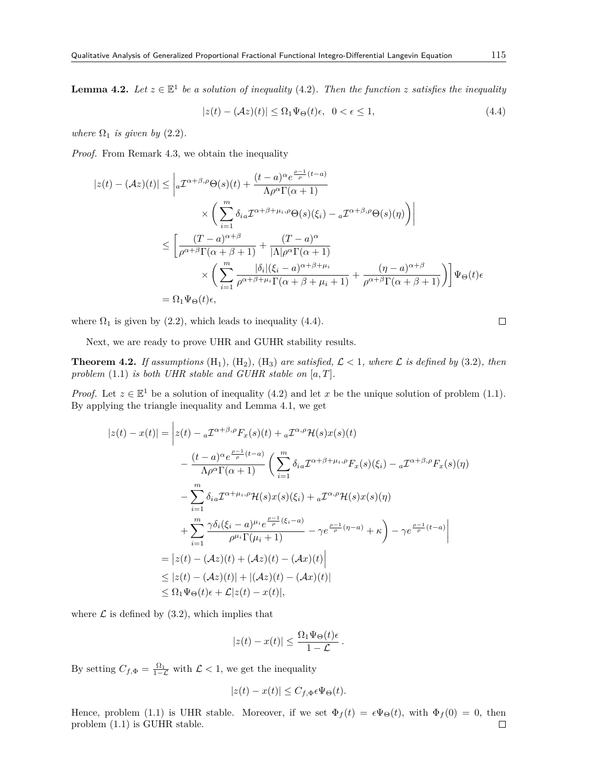**Lemma 4.2.** Let  $z \in \mathbb{E}^1$  be a solution of inequality (4.2). Then the function  $z$  satisfies the inequality

$$
|z(t) - (\mathcal{A}z)(t)| \le \Omega_1 \Psi_{\Theta}(t)\epsilon, \ \ 0 < \epsilon \le 1,\tag{4.4}
$$

*where*  $\Omega_1$  *is given by* (2.2).

*Proof.* From Remark 4.3, we obtain the inequality

$$
|z(t) - (\mathcal{A}z)(t)| \leq \left|_{a} \mathcal{I}^{\alpha+\beta,\rho}\Theta(s)(t) + \frac{(t-a)^{\alpha}e^{\frac{\rho-1}{\rho}(t-a)}}{\Lambda \rho^{\alpha}\Gamma(\alpha+1)} \right|
$$
  

$$
\times \left( \sum_{i=1}^{m} \delta_{ia} \mathcal{I}^{\alpha+\beta+\mu_{i},\rho}\Theta(s)(\xi_{i}) - {}_{a} \mathcal{I}^{\alpha+\beta,\rho}\Theta(s)(\eta) \right) \right|
$$
  

$$
\leq \left[ \frac{(T-a)^{\alpha+\beta}}{\rho^{\alpha+\beta}\Gamma(\alpha+\beta+1)} + \frac{(T-a)^{\alpha}}{|\Lambda|\rho^{\alpha}\Gamma(\alpha+1)} \right]
$$
  

$$
\times \left( \sum_{i=1}^{m} \frac{|\delta_{i}|(\xi_{i}-a)^{\alpha+\beta+\mu_{i}}}{\rho^{\alpha+\beta+\mu_{i}}\Gamma(\alpha+\beta+\mu_{i}+1)} + \frac{(\eta-a)^{\alpha+\beta}}{\rho^{\alpha+\beta}\Gamma(\alpha+\beta+1)} \right) \right] \Psi_{\Theta}(t)\epsilon
$$
  

$$
= \Omega_{1} \Psi_{\Theta}(t)\epsilon,
$$

where  $\Omega_1$  is given by (2.2), which leads to inequality (4.4).

$$
\Box
$$

Next, we are ready to prove UHR and GUHR stability results.

**Theorem 4.2.** *If assumptions*  $(H_1)$ ,  $(H_2)$ ,  $(H_3)$  *are satisfied,*  $\mathcal{L}$  < 1*, where*  $\mathcal{L}$  *is defined by* (3.2)*, then problem* (1.1) *is both UHR stable and GUHR stable on* [*a, T*]*.*

*Proof.* Let  $z \in \mathbb{E}^1$  be a solution of inequality (4.2) and let *x* be the unique solution of problem (1.1). By applying the triangle inequality and Lemma 4.1, we get

$$
|z(t) - x(t)| = \left| z(t) - aT^{\alpha+\beta,\rho} F_x(s)(t) + aT^{\alpha,\rho} \mathcal{H}(s)x(s)(t) \right|
$$
  

$$
- \frac{(t-a)^{\alpha} e^{\frac{\rho-1}{\rho}(t-a)}}{\Lambda \rho^{\alpha} \Gamma(\alpha+1)} \left( \sum_{i=1}^{m} \delta_{ia} T^{\alpha+\beta+\mu_i,\rho} F_x(s)(\xi_i) - aT^{\alpha+\beta,\rho} F_x(s)(\eta) \right)
$$
  

$$
- \sum_{i=1}^{m} \delta_{ia} T^{\alpha+\mu_i,\rho} \mathcal{H}(s)x(s)(\xi_i) + aT^{\alpha,\rho} \mathcal{H}(s)x(s)(\eta)
$$
  

$$
+ \sum_{i=1}^{m} \frac{\gamma \delta_i (\xi_i - a)^{\mu_i} e^{\frac{\rho-1}{\rho}(\xi_i - a)}}{\rho^{\mu_i} \Gamma(\mu_i + 1)} - \gamma e^{\frac{\rho-1}{\rho}(\eta - a)} + \kappa \right) - \gamma e^{\frac{\rho-1}{\rho}(t-a)} \Big|
$$
  

$$
= |z(t) - (\mathcal{A}z)(t) + (\mathcal{A}z)(t) - (\mathcal{A}x)(t)|
$$
  

$$
\leq |z(t) - (\mathcal{A}z)(t)| + |(\mathcal{A}z)(t) - (\mathcal{A}x)(t)|
$$
  

$$
\leq \Omega_1 \Psi_\Theta(t) \epsilon + \mathcal{L}|z(t) - x(t)|,
$$

where  $\mathcal L$  is defined by (3.2), which implies that

$$
|z(t) - x(t)| \leq \frac{\Omega_1 \Psi_{\Theta}(t) \epsilon}{1 - \mathcal{L}}.
$$

By setting  $C_{f, \Phi} = \frac{\Omega_1}{1 - \mathcal{L}}$  with  $\mathcal{L} < 1$ , we get the inequality

$$
|z(t) - x(t)| \le C_{f, \Phi} \epsilon \Psi_{\Theta}(t).
$$

Hence, problem (1.1) is UHR stable. Moreover, if we set  $\Phi_f(t) = \epsilon \Psi_{\Theta}(t)$ , with  $\Phi_f(0) = 0$ , then problem (1.1) is GUHR stable. $\Box$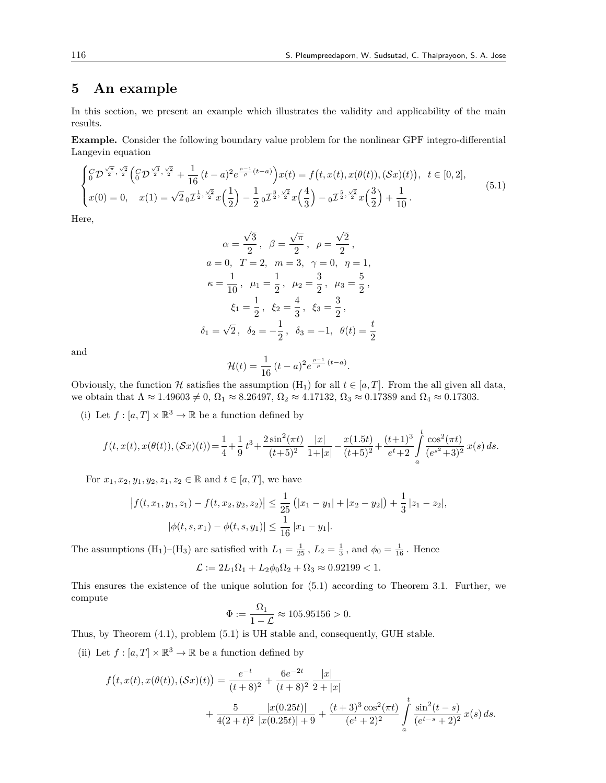# **5 An example**

In this section, we present an example which illustrates the validity and applicability of the main results.

**Example.** Consider the following boundary value problem for the nonlinear GPF integro-differential Langevin equation

$$
\begin{cases} {}^{C}_{0}\mathcal{D}^{\frac{\sqrt{\pi}}{2},\frac{\sqrt{2}}{2}}\left({}^{C}_{0}\mathcal{D}^{\frac{\sqrt{3}}{2},\frac{\sqrt{2}}{2}}+\frac{1}{16}(t-a)^{2}e^{\frac{\rho-1}{\rho}(t-a)}\right)x(t) = f\left(t,x(t),x(\theta(t)),(\mathcal{S}x)(t)\right), \ t \in [0,2],\\ x(0) = 0, \quad x(1) = \sqrt{2} \, {}_{0}\mathcal{I}^{\frac{1}{2},\frac{\sqrt{2}}{2}}x\left(\frac{1}{2}\right) - \frac{1}{2} \, {}_{0}\mathcal{I}^{\frac{3}{2},\frac{\sqrt{2}}{2}}x\left(\frac{4}{3}\right) - {}_{0}\mathcal{I}^{\frac{5}{2},\frac{\sqrt{2}}{2}}x\left(\frac{3}{2}\right) + \frac{1}{10} \,. \end{cases} \tag{5.1}
$$

Here,

$$
\alpha = \frac{\sqrt{3}}{2}, \quad \beta = \frac{\sqrt{\pi}}{2}, \quad \rho = \frac{\sqrt{2}}{2},
$$
  
\n
$$
a = 0, \quad T = 2, \quad m = 3, \quad \gamma = 0, \quad \eta = 1,
$$
  
\n
$$
\kappa = \frac{1}{10}, \quad \mu_1 = \frac{1}{2}, \quad \mu_2 = \frac{3}{2}, \quad \mu_3 = \frac{5}{2},
$$
  
\n
$$
\xi_1 = \frac{1}{2}, \quad \xi_2 = \frac{4}{3}, \quad \xi_3 = \frac{3}{2},
$$
  
\n
$$
\delta_1 = \sqrt{2}, \quad \delta_2 = -\frac{1}{2}, \quad \delta_3 = -1, \quad \theta(t) = \frac{t}{2}
$$

and

$$
\mathcal{H}(t) = \frac{1}{16} (t-a)^2 e^{\frac{\rho-1}{\rho} (t-a)}.
$$

Obviously, the function  $H$  satisfies the assumption  $(H_1)$  for all  $t \in [a, T]$ . From the all given all data, we obtain that  $\Lambda \approx 1.49603 \neq 0$ ,  $\Omega_1 \approx 8.26497$ ,  $\Omega_2 \approx 4.17132$ ,  $\Omega_3 \approx 0.17389$  and  $\Omega_4 \approx 0.17303$ .

(i) Let  $f : [a, T] \times \mathbb{R}^3 \to \mathbb{R}$  be a function defined by

$$
f(t,x(t),x(\theta(t)),(\mathcal S x)(t))\!=\!\frac{1}{4}\!+\!\frac{1}{9}\,t^3\!+\!\frac{2\sin^2(\pi t)}{(t\!+\!5)^2}\,\frac{|x|}{1\!+\!|x|}-\frac{x(1.5t)}{(t\!+\!5)^2}\!+\!\frac{(t\!+\!1)^3}{e^t\!+\!2}\int\limits_a^t\frac{\cos^2(\pi t)}{(e^{s^2}\!+\!3)^2}\,x(s)\,ds.
$$

For  $x_1, x_2, y_1, y_2, z_1, z_2 \in \mathbb{R}$  and  $t \in [a, T]$ , we have

$$
\left| f(t, x_1, y_1, z_1) - f(t, x_2, y_2, z_2) \right| \le \frac{1}{25} \left( |x_1 - y_1| + |x_2 - y_2| \right) + \frac{1}{3} |z_1 - z_2|,
$$
  

$$
|\phi(t, s, x_1) - \phi(t, s, y_1)| \le \frac{1}{16} |x_1 - y_1|.
$$

The assumptions  $(H_1)$ – $(H_3)$  are satisfied with  $L_1 = \frac{1}{25}$ ,  $L_2 = \frac{1}{3}$ , and  $\phi_0 = \frac{1}{16}$ . Hence

$$
\mathcal{L} := 2L_1 \Omega_1 + L_2 \phi_0 \Omega_2 + \Omega_3 \approx 0.92199 < 1.
$$

This ensures the existence of the unique solution for (5.1) according to Theorem 3.1. Further, we compute

$$
\Phi := \frac{\Omega_1}{1 - \mathcal{L}} \approx 105.95156 > 0.
$$

Thus, by Theorem (4.1), problem (5.1) is UH stable and, consequently, GUH stable.

(ii) Let  $f : [a, T] \times \mathbb{R}^3 \to \mathbb{R}$  be a function defined by

$$
f(t, x(t), x(\theta(t)), (Sx)(t)) = \frac{e^{-t}}{(t+8)^2} + \frac{6e^{-2t}}{(t+8)^2} \frac{|x|}{2+|x|} + \frac{5}{4(2+t)^2} \frac{|x(0.25t)|}{|x(0.25t)|+9} + \frac{(t+3)^3 \cos^2(\pi t)}{(e^t+2)^2} \int_a^t \frac{\sin^2(t-s)}{(e^{t-s}+2)^2} x(s) ds.
$$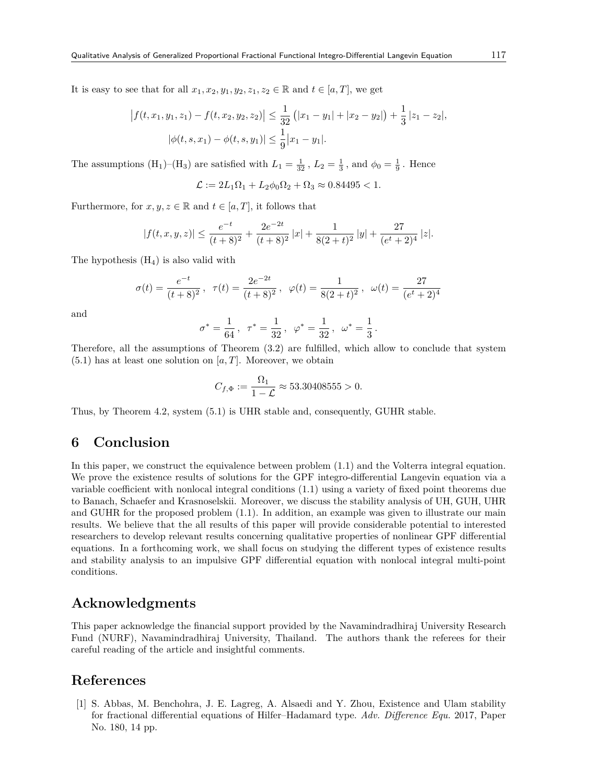It is easy to see that for all  $x_1, x_2, y_1, y_2, z_1, z_2 \in \mathbb{R}$  and  $t \in [a, T]$ , we get

$$
\left| f(t, x_1, y_1, z_1) - f(t, x_2, y_2, z_2) \right| \le \frac{1}{32} \left( |x_1 - y_1| + |x_2 - y_2| \right) + \frac{1}{3} |z_1 - z_2|,
$$
  

$$
|\phi(t, s, x_1) - \phi(t, s, y_1)| \le \frac{1}{9} |x_1 - y_1|.
$$

The assumptions  $(H_1)$ – $(H_3)$  are satisfied with  $L_1 = \frac{1}{32}$ ,  $L_2 = \frac{1}{3}$ , and  $\phi_0 = \frac{1}{9}$ . Hence

$$
\mathcal{L}:=2L_1\Omega_1+L_2\phi_0\Omega_2+\Omega_3\approx 0.84495<1.
$$

Furthermore, for  $x, y, z \in \mathbb{R}$  and  $t \in [a, T]$ , it follows that

$$
|f(t, x, y, z)| \le \frac{e^{-t}}{(t+8)^2} + \frac{2e^{-2t}}{(t+8)^2} |x| + \frac{1}{8(2+t)^2} |y| + \frac{27}{(e^t+2)^4} |z|.
$$

The hypothesis  $(H_4)$  is also valid with

$$
\sigma(t) = \frac{e^{-t}}{(t+8)^2}, \quad \tau(t) = \frac{2e^{-2t}}{(t+8)^2}, \quad \varphi(t) = \frac{1}{8(2+t)^2}, \quad \omega(t) = \frac{27}{(e^t+2)^4}
$$

and

$$
\sigma^* = \frac{1}{64}
$$
,  $\tau^* = \frac{1}{32}$ ,  $\varphi^* = \frac{1}{32}$ ,  $\omega^* = \frac{1}{3}$ .

Therefore, all the assumptions of Theorem (3.2) are fulfilled, which allow to conclude that system (5.1) has at least one solution on [*a, T*]. Moreover, we obtain

$$
C_{f, \Phi} := \frac{\Omega_1}{1 - \mathcal{L}} \approx 53.30408555 > 0.
$$

Thus, by Theorem 4.2, system (5.1) is UHR stable and, consequently, GUHR stable.

## **6 Conclusion**

In this paper, we construct the equivalence between problem (1.1) and the Volterra integral equation. We prove the existence results of solutions for the GPF integro-differential Langevin equation via a variable coefficient with nonlocal integral conditions (1.1) using a variety of fixed point theorems due to Banach, Schaefer and Krasnoselskii. Moreover, we discuss the stability analysis of UH, GUH, UHR and GUHR for the proposed problem (1.1). In addition, an example was given to illustrate our main results. We believe that the all results of this paper will provide considerable potential to interested researchers to develop relevant results concerning qualitative properties of nonlinear GPF differential equations. In a forthcoming work, we shall focus on studying the different types of existence results and stability analysis to an impulsive GPF differential equation with nonlocal integral multi-point conditions.

### **Acknowledgments**

This paper acknowledge the financial support provided by the Navamindradhiraj University Research Fund (NURF), Navamindradhiraj University, Thailand. The authors thank the referees for their careful reading of the article and insightful comments.

## **References**

[1] S. Abbas, M. Benchohra, J. E. Lagreg, A. Alsaedi and Y. Zhou, Existence and Ulam stability for fractional differential equations of Hilfer–Hadamard type. *Adv. Difference Equ.* 2017, Paper No. 180, 14 pp.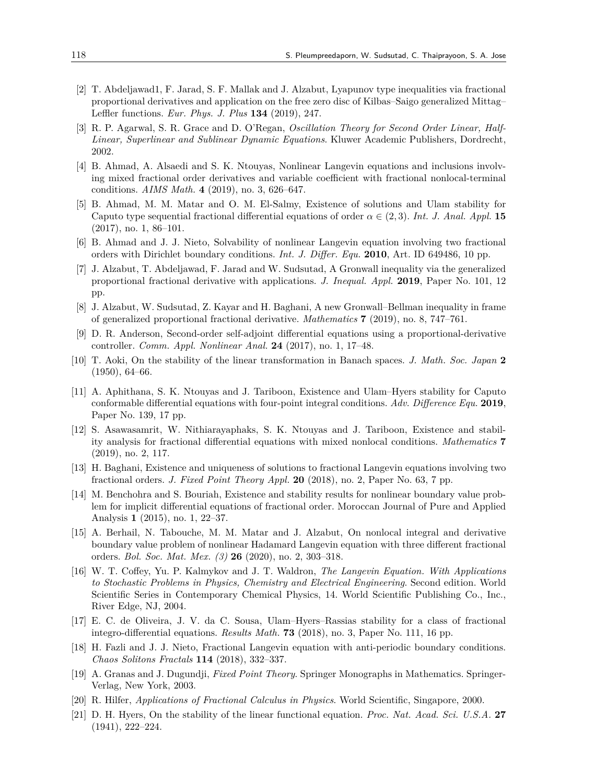- [2] T. Abdeljawad1, F. Jarad, S. F. Mallak and J. Alzabut, Lyapunov type inequalities via fractional proportional derivatives and application on the free zero disc of Kilbas–Saigo generalized Mittag– Leffler functions. *Eur. Phys. J. Plus* **134** (2019), 247.
- [3] R. P. Agarwal, S. R. Grace and D. O'Regan, *Oscillation Theory for Second Order Linear, Half-Linear, Superlinear and Sublinear Dynamic Equations*. Kluwer Academic Publishers, Dordrecht, 2002.
- [4] B. Ahmad, A. Alsaedi and S. K. Ntouyas, Nonlinear Langevin equations and inclusions involving mixed fractional order derivatives and variable coefficient with fractional nonlocal-terminal conditions. *AIMS Math.* **4** (2019), no. 3, 626–647.
- [5] B. Ahmad, M. M. Matar and O. M. El-Salmy, Existence of solutions and Ulam stability for Caputo type sequential fractional differential equations of order  $\alpha \in (2,3)$ . *Int. J. Anal. Appl.* **15** (2017), no. 1, 86–101.
- [6] B. Ahmad and J. J. Nieto, Solvability of nonlinear Langevin equation involving two fractional orders with Dirichlet boundary conditions. *Int. J. Differ. Equ.* **2010**, Art. ID 649486, 10 pp.
- [7] J. Alzabut, T. Abdeljawad, F. Jarad and W. Sudsutad, A Gronwall inequality via the generalized proportional fractional derivative with applications. *J. Inequal. Appl.* **2019**, Paper No. 101, 12 pp.
- [8] J. Alzabut, W. Sudsutad, Z. Kayar and H. Baghani, A new Gronwall–Bellman inequality in frame of generalized proportional fractional derivative. *Mathematics* **7** (2019), no. 8, 747–761.
- [9] D. R. Anderson, Second-order self-adjoint differential equations using a proportional-derivative controller. *Comm. Appl. Nonlinear Anal.* **24** (2017), no. 1, 17–48.
- [10] T. Aoki, On the stability of the linear transformation in Banach spaces. *J. Math. Soc. Japan* **2**  $(1950), 64–66.$
- [11] A. Aphithana, S. K. Ntouyas and J. Tariboon, Existence and Ulam–Hyers stability for Caputo conformable differential equations with four-point integral conditions. *Adv. Difference Equ.* **2019**, Paper No. 139, 17 pp.
- [12] S. Asawasamrit, W. Nithiarayaphaks, S. K. Ntouyas and J. Tariboon, Existence and stability analysis for fractional differential equations with mixed nonlocal conditions. *Mathematics* **7** (2019), no. 2, 117.
- [13] H. Baghani, Existence and uniqueness of solutions to fractional Langevin equations involving two fractional orders. *J. Fixed Point Theory Appl.* **20** (2018), no. 2, Paper No. 63, 7 pp.
- [14] M. Benchohra and S. Bouriah, Existence and stability results for nonlinear boundary value problem for implicit differential equations of fractional order. Moroccan Journal of Pure and Applied Analysis **1** (2015), no. 1, 22–37.
- [15] A. Berhail, N. Tabouche, M. M. Matar and J. Alzabut, On nonlocal integral and derivative boundary value problem of nonlinear Hadamard Langevin equation with three different fractional orders. *Bol. Soc. Mat. Mex. (3)* **26** (2020), no. 2, 303–318.
- [16] W. T. Coffey, Yu. P. Kalmykov and J. T. Waldron, *The Langevin Equation. With Applications to Stochastic Problems in Physics, Chemistry and Electrical Engineering*. Second edition. World Scientific Series in Contemporary Chemical Physics, 14. World Scientific Publishing Co., Inc., River Edge, NJ, 2004.
- [17] E. C. de Oliveira, J. V. da C. Sousa, Ulam–Hyers–Rassias stability for a class of fractional integro-differential equations. *Results Math.* **73** (2018), no. 3, Paper No. 111, 16 pp.
- [18] H. Fazli and J. J. Nieto, Fractional Langevin equation with anti-periodic boundary conditions. *Chaos Solitons Fractals* **114** (2018), 332–337.
- [19] A. Granas and J. Dugundji, *Fixed Point Theory*. Springer Monographs in Mathematics. Springer-Verlag, New York, 2003.
- [20] R. Hilfer, *Applications of Fractional Calculus in Physics*. World Scientific, Singapore, 2000.
- [21] D. H. Hyers, On the stability of the linear functional equation. *Proc. Nat. Acad. Sci. U.S.A.* **27** (1941), 222–224.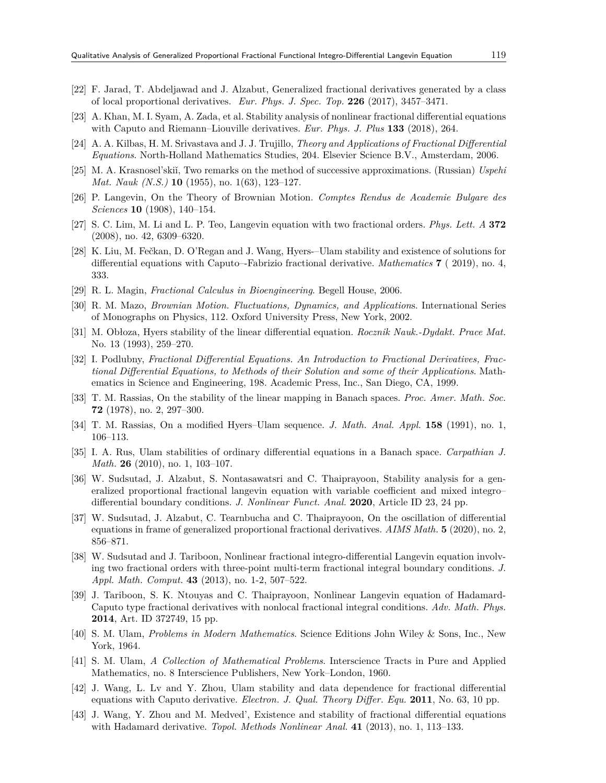- [22] F. Jarad, T. Abdeljawad and J. Alzabut, Generalized fractional derivatives generated by a class of local proportional derivatives. *Eur. Phys. J. Spec. Top.* **226** (2017), 3457–3471.
- [23] A. Khan, M. I. Syam, A. Zada, et al. Stability analysis of nonlinear fractional differential equations with Caputo and Riemann–Liouville derivatives. *Eur. Phys. J. Plus* **133** (2018), 264.
- [24] A. A. Kilbas, H. M. Srivastava and J. J. Trujillo, *Theory and Applications of Fractional Differential Equations*. North-Holland Mathematics Studies, 204. Elsevier Science B.V., Amsterdam, 2006.
- [25] M. A. Krasnosel'skiǐ, Two remarks on the method of successive approximations. (Russian) *Uspehi Mat. Nauk (N.S.)* **10** (1955), no. 1(63), 123–127.
- [26] P. Langevin, On the Theory of Brownian Motion. *Comptes Rendus de Academie Bulgare des Sciences* **10** (1908), 140–154.
- [27] S. C. Lim, M. Li and L. P. Teo, Langevin equation with two fractional orders. *Phys. Lett. A* **372** (2008), no. 42, 6309–6320.
- [28] K. Liu, M. Fečkan, D. O'Regan and J. Wang, Hyers-–Ulam stability and existence of solutions for differential equations with Caputo–-Fabrizio fractional derivative. *Mathematics* **7** ( 2019), no. 4, 333.
- [29] R. L. Magin, *Fractional Calculus in Bioengineering*. Begell House, 2006.
- [30] R. M. Mazo, *Brownian Motion. Fluctuations, Dynamics, and Application*s. International Series of Monographs on Physics, 112. Oxford University Press, New York, 2002.
- [31] M. Obłoza, Hyers stability of the linear differential equation. *Rocznik Nauk.-Dydakt. Prace Mat.* No. 13 (1993), 259–270.
- [32] I. Podlubny, *Fractional Differential Equations. An Introduction to Fractional Derivatives, Fractional Differential Equations, to Methods of their Solution and some of their Applications*. Mathematics in Science and Engineering, 198. Academic Press, Inc., San Diego, CA, 1999.
- [33] T. M. Rassias, On the stability of the linear mapping in Banach spaces. *Proc. Amer. Math. Soc.* **72** (1978), no. 2, 297–300.
- [34] T. M. Rassias, On a modified Hyers–Ulam sequence. *J. Math. Anal. Appl.* **158** (1991), no. 1, 106–113.
- [35] I. A. Rus, Ulam stabilities of ordinary differential equations in a Banach space. *Carpathian J. Math.* **26** (2010), no. 1, 103–107.
- [36] W. Sudsutad, J. Alzabut, S. Nontasawatsri and C. Thaiprayoon, Stability analysis for a generalized proportional fractional langevin equation with variable coefficient and mixed integro– differential boundary conditions. *J. Nonlinear Funct. Anal.* **2020**, Article ID 23, 24 pp.
- [37] W. Sudsutad, J. Alzabut, C. Tearnbucha and C. Thaiprayoon, On the oscillation of differential equations in frame of generalized proportional fractional derivatives. *AIMS Math.* **5** (2020), no. 2, 856–871.
- [38] W. Sudsutad and J. Tariboon, Nonlinear fractional integro-differential Langevin equation involving two fractional orders with three-point multi-term fractional integral boundary conditions. *J. Appl. Math. Comput.* **43** (2013), no. 1-2, 507–522.
- [39] J. Tariboon, S. K. Ntouyas and C. Thaiprayoon, Nonlinear Langevin equation of Hadamard-Caputo type fractional derivatives with nonlocal fractional integral conditions. *Adv. Math. Phys.* **2014**, Art. ID 372749, 15 pp.
- [40] S. M. Ulam, *Problems in Modern Mathematics*. Science Editions John Wiley & Sons, Inc., New York, 1964.
- [41] S. M. Ulam, *A Collection of Mathematical Problems*. Interscience Tracts in Pure and Applied Mathematics, no. 8 Interscience Publishers, New York–London, 1960.
- [42] J. Wang, L. Lv and Y. Zhou, Ulam stability and data dependence for fractional differential equations with Caputo derivative. *Electron. J. Qual. Theory Differ. Equ.* **2011**, No. 63, 10 pp.
- [43] J. Wang, Y. Zhou and M. Medved', Existence and stability of fractional differential equations with Hadamard derivative. *Topol. Methods Nonlinear Anal.* **41** (2013), no. 1, 113–133.